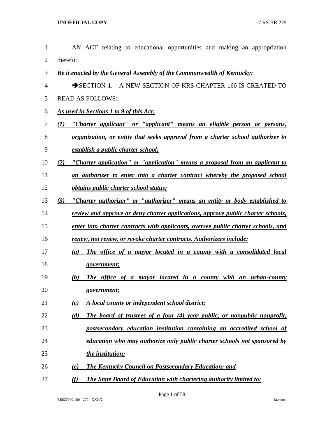| $\mathbf{1}$   | AN ACT relating to educational opportunities and making an appropriation            |
|----------------|-------------------------------------------------------------------------------------|
| $\overline{2}$ | therefor.                                                                           |
| 3              | Be it enacted by the General Assembly of the Commonwealth of Kentucky:              |
| $\overline{4}$ | SECTION 1. A NEW SECTION OF KRS CHAPTER 160 IS CREATED TO                           |
| 5              | <b>READ AS FOLLOWS:</b>                                                             |
| 6              | As used in Sections 1 to 9 of this Act:                                             |
| $\tau$         | "Charter applicant" or "applicant" means an eligible person or persons,<br>(I)      |
| $8\,$          | organization, or entity that seeks approval from a charter school authorizer to     |
| 9              | <u>establish a public charter school;</u>                                           |
| 10             | "Charter application" or "application" means a proposal from an applicant to<br>(2) |
| 11             | an authorizer to enter into a charter contract whereby the proposed school          |
| 12             | obtains public charter school status;                                               |
| 13             | "Charter authorizer" or "authorizer" means an entity or body established to<br>(3)  |
| 14             | review and approve or deny charter applications, approve public charter schools,    |
| 15             | enter into charter contracts with applicants, oversee public charter schools, and   |
| 16             | renew, not renew, or revoke charter contracts. Authorizers include:                 |
| 17             | The office of a mayor located in a county with a consolidated local<br>(a)          |
| 18             | government;                                                                         |
| 19             | The office of a mayor located in a county with an urban-county<br>(b)               |
| 20             | government;                                                                         |
| 21             | A local county or independent school district;<br>(c)                               |
| 22             | The board of trustees of a four (4) year public, or nonpublic nonprofit,<br>(d)     |
| 23             | postsecondary education institution containing an accredited school of              |
| 24             | <u>education who may authorize only public charter schools not sponsored by</u>     |
| 25             | the institution;                                                                    |
| 26             | <b>The Kentucky Council on Postsecondary Education; and</b><br>(e)                  |
| 27             | The State Board of Education with chartering authority limited to:<br>(f)           |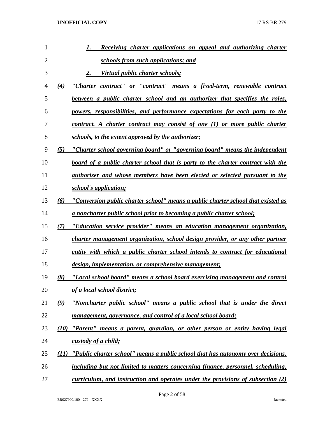| 1  |      | Receiving charter applications on appeal and authorizing charter<br>1.                 |
|----|------|----------------------------------------------------------------------------------------|
| 2  |      | schools from such applications; and                                                    |
| 3  |      | Virtual public charter schools;<br>2.                                                  |
| 4  | (4)  | "Charter contract" or "contract" means a fixed-term, renewable contract                |
| 5  |      | between a public charter school and an authorizer that specifies the roles,            |
| 6  |      | powers, responsibilities, and performance expectations for each party to the           |
| 7  |      | contract. A charter contract may consist of one (1) or more public charter             |
| 8  |      | <u>schools, to the extent approved by the authorizer;</u>                              |
| 9  | (5)  | "Charter school governing board" or "governing board" means the independent            |
| 10 |      | <u>board of a public charter school that is party to the charter contract with the</u> |
| 11 |      | <u>authorizer and whose members have been elected or selected pursuant to the</u>      |
| 12 |      | school's application;                                                                  |
| 13 | (6)  | "Conversion public charter school" means a public charter school that existed as       |
| 14 |      | <u>a noncharter public school prior to becoming a public charter school;</u>           |
| 15 | (7)  | "Education service provider" means an education management organization,               |
| 16 |      | charter management organization, school design provider, or any other partner          |
| 17 |      | entity with which a public charter school intends to contract for educational          |
| 18 |      | design, implementation, or comprehensive management;                                   |
| 19 | (8)  | "Local school board" means a school board exercising management and control            |
| 20 |      | of a local school district;                                                            |
| 21 | (9)  | "Noncharter public school" means a public school that is under the direct              |
| 22 |      | management, governance, and control of a local school board;                           |
| 23 | (10) | "Parent" means a parent, guardian, or other person or entity having legal              |
| 24 |      | custody of a child;                                                                    |
| 25 | (11) | "Public charter school" means a public school that has autonomy over decisions,        |
| 26 |      | including but not limited to matters concerning finance, personnel, scheduling,        |
| 27 |      | curriculum, and instruction and operates under the provisions of subsection $(2)$      |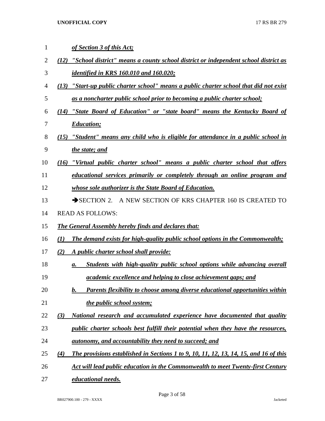| 1  | of Section 3 of this Act;                                                                    |
|----|----------------------------------------------------------------------------------------------|
| 2  | "School district" means a county school district or independent school district as<br>(12)   |
| 3  | <u>identified in KRS 160.010 and 160.020;</u>                                                |
| 4  | "Start-up public charter school" means a public charter school that did not exist<br>(13)    |
| 5  | <u>as a noncharter public school prior to becoming a public charter school;</u>              |
| 6  | (14) "State Board of Education" or "state board" means the Kentucky Board of                 |
| 7  | <i><b>Education</b></i> ;                                                                    |
| 8  | "Student" means any child who is eligible for attendance in a public school in<br>(15)       |
| 9  | <u>the state; and</u>                                                                        |
| 10 | "Virtual public charter school" means a public charter school that offers<br>(16)            |
| 11 | educational services primarily or completely through an online program and                   |
| 12 | whose sole authorizer is the State Board of Education.                                       |
| 13 | SECTION 2. A NEW SECTION OF KRS CHAPTER 160 IS CREATED TO                                    |
| 14 | <b>READ AS FOLLOWS:</b>                                                                      |
| 15 | <b>The General Assembly hereby finds and declares that:</b>                                  |
| 16 | The demand exists for high-quality public school options in the Commonwealth;<br>(I)         |
| 17 | A public charter school shall provide:<br>(2)                                                |
| 18 | <u>Students with high-quality public school options while advancing overall</u><br>а.        |
| 19 | <i>academic excellence and helping to close achievement gaps; and</i>                        |
| 20 | Parents flexibility to choose among diverse educational opportunities within<br>b.           |
| 21 | the public school system;                                                                    |
| 22 | <u>National research and accumulated experience have documented that quality</u><br>(3)      |
| 23 | <i>public charter schools best fulfill their potential when they have the resources,</i>     |
| 24 | <u>autonomy, and accountability they need to succeed; and</u>                                |
| 25 | The provisions established in Sections 1 to 9, 10, 11, 12, 13, 14, 15, and 16 of this<br>(4) |
| 26 | <u>Act will lead public education in the Commonwealth to meet Twenty-first Century</u>       |
| 27 | educational needs.                                                                           |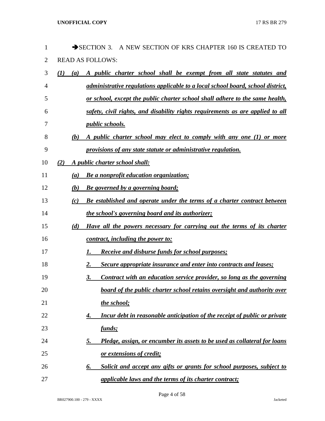| 1  | $\rightarrow$ SECTION 3.<br>A NEW SECTION OF KRS CHAPTER 160 IS CREATED TO             |
|----|----------------------------------------------------------------------------------------|
| 2  | <b>READ AS FOLLOWS:</b>                                                                |
| 3  | (I)<br>A public charter school shall be exempt from all state statutes and<br>(a)      |
| 4  | administrative regulations applicable to a local school board, school district,        |
| 5  | or school, except the public charter school shall adhere to the same health,           |
| 6  | safety, civil rights, and disability rights requirements as are applied to all         |
| 7  | <i>public schools.</i>                                                                 |
| 8  | (b)<br>A public charter school may elect to comply with any one (1) or more            |
| 9  | provisions of any state statute or administrative regulation.                          |
| 10 | A public charter school shall:<br>(2)                                                  |
| 11 | <b>Be a nonprofit education organization;</b><br>(a)                                   |
| 12 | <b>Be governed by a governing board;</b><br>(b)                                        |
| 13 | Be established and operate under the terms of a charter contract between<br>(c)        |
| 14 | <i>the school's governing board and its authorizer;</i>                                |
| 15 | Have all the powers necessary for carrying out the terms of its charter<br>(d)         |
| 16 | contract, including the power to:                                                      |
| 17 | <b>Receive and disburse funds for school purposes;</b><br>I.                           |
| 18 | Secure appropriate insurance and enter into contracts and leases;<br>2.                |
| 19 | Contract with an education service provider, so long as the governing<br>3.            |
| 20 | board of the public charter school retains oversight and authority over                |
| 21 | the school;                                                                            |
| 22 | Incur debt in reasonable anticipation of the receipt of public or private<br>4.        |
| 23 | funds;                                                                                 |
| 24 | Pledge, assign, or encumber its assets to be used as collateral for loans<br><u>5.</u> |
| 25 | <u>or extensions of credit;</u>                                                        |
| 26 | Solicit and accept any gifts or grants for school purposes, subject to<br>6.           |
| 27 | <i>applicable laws and the terms of its charter contract;</i>                          |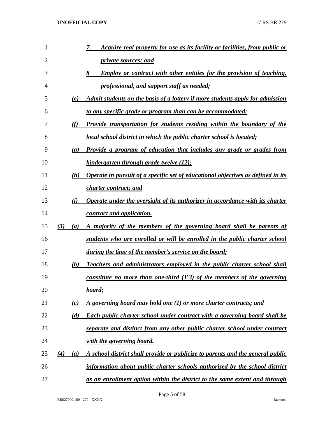| 1  |     |                             | <u>Acquire real property for use as its facility or facilities, from public or</u><br>7. |
|----|-----|-----------------------------|------------------------------------------------------------------------------------------|
| 2  |     |                             | <i>private sources; and</i>                                                              |
| 3  |     |                             | <b>Employ or contract with other entities for the provision of teaching,</b><br>8        |
| 4  |     |                             | professional, and support staff as needed;                                               |
| 5  |     | (e)                         | Admit students on the basis of a lottery if more students apply for admission            |
| 6  |     |                             | <u>to any specific grade or program than can be accommodated;</u>                        |
| 7  |     | (f)                         | <b>Provide transportation for students residing within the boundary of the</b>           |
| 8  |     |                             | local school district in which the public charter school is located;                     |
| 9  |     | $\left( \mathbf{g} \right)$ | Provide a program of education that includes any grade or grades from                    |
| 10 |     |                             | <u>kindergarten through grade twelve (12);</u>                                           |
| 11 |     | (h)                         | Operate in pursuit of a specific set of educational objectives as defined in its         |
| 12 |     |                             | <i>charter contract; and</i>                                                             |
| 13 |     | (i)                         | Operate under the oversight of its authorizer in accordance with its charter             |
| 14 |     |                             | contract and application.                                                                |
| 15 | (3) | (a)                         | A majority of the members of the governing board shall be parents of                     |
| 16 |     |                             | students who are enrolled or will be enrolled in the public charter school               |
| 17 |     |                             | during the time of the member's service on the board;                                    |
| 18 |     | (b)                         | Teachers and administrators employed in the public charter school shall                  |
| 19 |     |                             | constitute no more than one-third $(1/3)$ of the members of the governing                |
| 20 |     |                             | board;                                                                                   |
| 21 |     | (c)                         | A governing board may hold one (1) or more charter contracts; and                        |
| 22 |     | (d)                         | <b>Each public charter school under contract with a governing board shall be</b>         |
| 23 |     |                             | separate and distinct from any other public charter school under contract                |
| 24 |     |                             | with the governing board.                                                                |
| 25 | (4) | (a)                         | A school district shall provide or publicize to parents and the general public           |
| 26 |     |                             | information about public charter schools authorized by the school district               |
| 27 |     |                             | as an enrollment option within the district to the same extent and through               |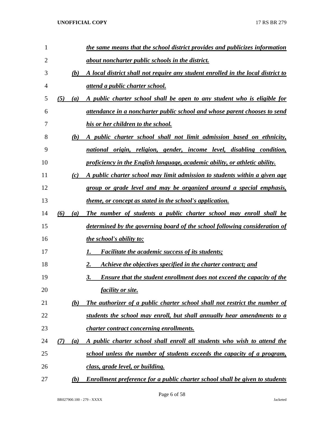| 1              |     |                  | the same means that the school district provides and publicizes information         |
|----------------|-----|------------------|-------------------------------------------------------------------------------------|
| $\overline{2}$ |     |                  | about noncharter public schools in the district.                                    |
| 3              |     | (b)              | A local district shall not require any student enrolled in the local district to    |
| $\overline{4}$ |     |                  | <i><u>attend a public charter school.</u></i>                                       |
| 5              | (5) | (a)              | A public charter school shall be open to any student who is eligible for            |
| 6              |     |                  | attendance in a noncharter public school and whose parent chooses to send           |
| 7              |     |                  | his or her children to the school.                                                  |
| 8              |     | (b)              | A public charter school shall not limit admission based on ethnicity,               |
| 9              |     |                  | national origin, religion, gender, income level, disabling condition,               |
| 10             |     |                  | proficiency in the English language, academic ability, or athletic ability.         |
| 11             |     | (c)              | A public charter school may limit admission to students within a given age          |
| 12             |     |                  | group or grade level and may be organized around a special emphasis,                |
| 13             |     |                  | <i>theme, or concept as stated in the school's application.</i>                     |
| 14             | (6) | $\left(a\right)$ | The number of students a public charter school may enroll shall be                  |
| 15             |     |                  | determined by the governing board of the school following consideration of          |
| 16             |     |                  | <i>the school's ability to:</i>                                                     |
| 17             |     |                  | <b>Facilitate the academic success of its students;</b>                             |
| 18             |     |                  | Achieve the objectives specified in the charter contract; and<br>2.                 |
| 19             |     |                  | 3.<br><b>Ensure that the student enrollment does not exceed the capacity of the</b> |
| 20             |     |                  | <u>facility or site.</u>                                                            |
| 21             |     | (b)              | The authorizer of a public charter school shall not restrict the number of          |
| 22             |     |                  | students the school may enroll, but shall annually hear amendments to a             |
| 23             |     |                  | charter contract concerning enrollments.                                            |
| 24             | (7) | (a)              | A public charter school shall enroll all students who wish to attend the            |
| 25             |     |                  | school unless the number of students exceeds the capacity of a program,             |
| 26             |     |                  | class, grade level, or building.                                                    |
| 27             |     | (b)              | Enrollment preference for a public charter school shall be given to students        |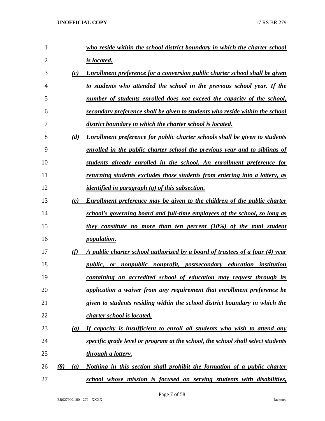| 1              |                             | who reside within the school district boundary in which the charter school         |
|----------------|-----------------------------|------------------------------------------------------------------------------------|
| $\overline{2}$ |                             | is located.                                                                        |
| 3              | (c)                         | Enrollment preference for a conversion public charter school shall be given        |
| 4              |                             | to students who attended the school in the previous school year. If the            |
| 5              |                             | number of students enrolled does not exceed the capacity of the school,            |
| 6              |                             | secondary preference shall be given to students who reside within the school       |
| 7              |                             | district boundary in which the charter school is located.                          |
| 8              | (d)                         | <b>Enrollment preference for public charter schools shall be given to students</b> |
| 9              |                             | enrolled in the public charter school the previous year and to siblings of         |
| 10             |                             | students already enrolled in the school. An enrollment preference for              |
| 11             |                             | returning students excludes those students from entering into a lottery, as        |
| 12             |                             | <i>identified in paragraph</i> $(g)$ of this subsection.                           |
| 13             | (e)                         | Enrollment preference may be given to the children of the public charter           |
| 14             |                             | school's governing board and full-time employees of the school, so long as         |
| 15             |                             | they constitute no more than ten percent (10%) of the total student                |
| 16             |                             | <i>population.</i>                                                                 |
| 17             | (f)                         | A public charter school authorized by a board of trustees of a four (4) year       |
| 18             |                             | public, or nonpublic nonprofit, postsecondary education institution                |
| 19             |                             | containing an accredited school of education may request through its               |
| 20             |                             | application a waiver from any requirement that enrollment preference be            |
| 21             |                             | given to students residing within the school district boundary in which the        |
| 22             |                             | charter school is located.                                                         |
| 23             | $\left( \mathbf{g} \right)$ | If capacity is insufficient to enroll all students who wish to attend any          |
| 24             |                             | specific grade level or program at the school, the school shall select students    |
| 25             |                             | through a lottery.                                                                 |
| 26             | (8)<br>(a)                  | Nothing in this section shall prohibit the formation of a public charter           |
| 27             |                             | school whose mission is focused on serving students with disabilities,             |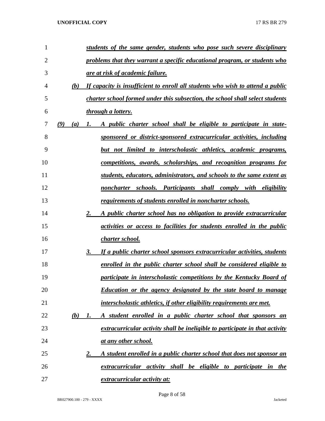| $\mathbf{1}$   |     |     | students of the same gender, students who pose such severe disciplinary               |
|----------------|-----|-----|---------------------------------------------------------------------------------------|
| $\overline{2}$ |     |     | problems that they warrant a specific educational program, or students who            |
| 3              |     |     | <u>are at risk of academic failure.</u>                                               |
| 4              |     | (b) | If capacity is insufficient to enroll all students who wish to attend a public        |
| 5              |     |     | charter school formed under this subsection, the school shall select students         |
| 6              |     |     | <i>through a lottery.</i>                                                             |
| 7              | (9) | (a) | A public charter school shall be eligible to participate in state-<br>1.              |
| 8              |     |     | sponsored or district-sponsored extracurricular activities, including                 |
| 9              |     |     | <u>but not limited to interscholastic athletics, academic programs,</u>               |
| 10             |     |     | competitions, awards, scholarships, and recognition programs for                      |
| 11             |     |     | students, educators, administrators, and schools to the same extent as                |
| 12             |     |     | noncharter schools. Participants shall comply with eligibility                        |
| 13             |     |     | <u>requirements of students enrolled in noncharter schools.</u>                       |
| 14             |     |     | 2.<br>A public charter school has no obligation to provide extracurricular            |
| 15             |     |     | <i>activities or access to facilities for students enrolled in the public</i>         |
| 16             |     |     | <u>charter school.</u>                                                                |
| 17             |     |     | 3.<br><u>If a public charter school sponsors extracurricular activities, students</u> |
| 18             |     |     | <u>enrolled in the public charter school shall be considered eligible to</u>          |
| 19             |     |     | participate in interscholastic competitions by the Kentucky Board of                  |
| 20             |     |     | <b>Education or the agency designated by the state board to manage</b>                |
| 21             |     |     | interscholastic athletics, if other eligibility requirements are met.                 |
| 22             |     | (b) | A student enrolled in a public charter school that sponsors an<br>1.                  |
| 23             |     |     | extracurricular activity shall be ineligible to participate in that activity          |
| 24             |     |     | <u>at any other school.</u>                                                           |
| 25             |     |     | A student enrolled in a public charter school that does not sponsor an<br>2.          |
| 26             |     |     | extracurricular activity shall be eligible to participate in the                      |
| 27             |     |     | extracurricular activity at:                                                          |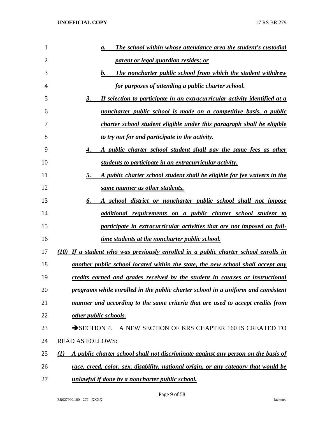| 1              | <b>The school within whose attendance area the student's custodial</b><br>а.                      |
|----------------|---------------------------------------------------------------------------------------------------|
| $\overline{2}$ | <u>parent or legal guardian resides; or</u>                                                       |
| 3              | The noncharter public school from which the student withdrew<br>$\bm{b}$ .                        |
| 4              | <u>for purposes of attending a public charter school.</u>                                         |
| 5              | If selection to participate in an extracurricular activity identified at a<br>3.                  |
| 6              | noncharter public school is made on a competitive basis, a public                                 |
| 7              | charter school student eligible under this paragraph shall be eligible                            |
| 8              | to try out for and participate in the activity.                                                   |
| 9              | A public charter school student shall pay the same fees as other<br>4.                            |
| 10             | students to participate in an extracurricular activity.                                           |
| 11             | A public charter school student shall be eligible for fee waivers in the<br>5.                    |
| 12             | same manner as other students.                                                                    |
| 13             | A school district or noncharter public school shall not impose<br>6.                              |
| 14             | additional requirements on a public charter school student to                                     |
| 15             | participate in extracurricular activities that are not imposed on full-                           |
| 16             | time students at the noncharter public school.                                                    |
| 17             | (10) If a student who was previously enrolled in a public charter school enrolls in               |
| 18             | another public school located within the state, the new school shall accept any                   |
| 19             | credits earned and grades received by the student in courses or instructional                     |
| 20             | programs while enrolled in the public charter school in a uniform and consistent                  |
| 21             | manner and according to the same criteria that are used to accept credits from                    |
| 22             | other public schools.                                                                             |
| 23             | $\rightarrow$ SECTION 4.<br>A NEW SECTION OF KRS CHAPTER 160 IS CREATED TO                        |
| 24             | <b>READ AS FOLLOWS:</b>                                                                           |
| 25             | A public charter school shall not discriminate against any person on the basis of<br>$\mathbf{U}$ |
| 26             | race, creed, color, sex, disability, national origin, or any category that would be               |
| 27             | unlawful if done by a noncharter public school.                                                   |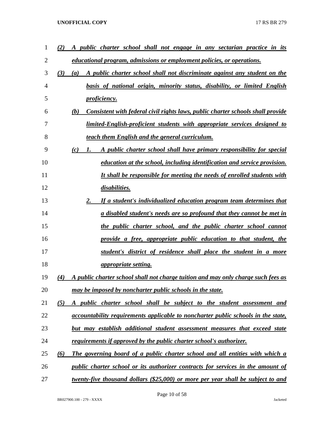| 1  | public charter school shall not engage in any sectarian practice in its<br>$\mathbf{2}$  |
|----|------------------------------------------------------------------------------------------|
| 2  | educational program, admissions or employment policies, or operations.                   |
| 3  | (3)<br>A public charter school shall not discriminate against any student on the<br>(a)  |
| 4  | basis of national origin, minority status, disability, or limited English                |
| 5  | <i>proficiency.</i>                                                                      |
| 6  | Consistent with federal civil rights laws, public charter schools shall provide<br>(b)   |
| 7  | <u>limited-English-proficient students with appropriate services designed to</u>         |
| 8  | teach them English and the general curriculum.                                           |
| 9  | A public charter school shall have primary responsibility for special<br>(c)<br>Ι.       |
| 10 | education at the school, including identification and service provision.                 |
| 11 | It shall be responsible for meeting the needs of enrolled students with                  |
| 12 | disabilities.                                                                            |
| 13 | 2.<br>If a student's individualized education program team determines that               |
| 14 | a disabled student's needs are so profound that they cannot be met in                    |
| 15 | <u>the public charter school, and the public charter school cannot</u>                   |
| 16 | provide a free, appropriate public education to that student, the                        |
| 17 | student's district of residence shall place the student in a more                        |
| 18 | <i>appropriate setting.</i>                                                              |
| 19 | A public charter school shall not charge tuition and may only charge such fees as<br>(4) |
| 20 | may be imposed by noncharter public schools in the state.                                |
| 21 | (5)<br>A public charter school shall be subject to the student assessment and            |
| 22 | <u>accountability requirements applicable to noncharter public schools in the state,</u> |
| 23 | but may establish additional student assessment measures that exceed state               |
| 24 | <u>requirements if approved by the public charter school's authorizer.</u>               |
| 25 | The governing board of a public charter school and all entities with which a<br>(6)      |
| 26 | <i>public charter school or its authorizer contracts for services in the amount of</i>   |
| 27 | twenty-five thousand dollars (\$25,000) or more per year shall be subject to and         |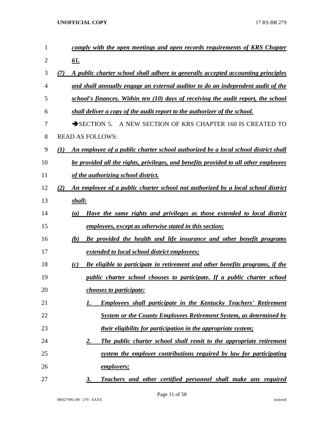| $\mathbf{1}$ | comply with the open meetings and open records requirements of KRS Chapter                             |
|--------------|--------------------------------------------------------------------------------------------------------|
| 2            | <u>61.</u>                                                                                             |
| 3            | A public charter school shall adhere to generally accepted accounting principles<br>(7)                |
| 4            | and shall annually engage an external auditor to do an independent audit of the                        |
| 5            | school's finances. Within ten (10) days of receiving the audit report, the school                      |
| 6            | shall deliver a copy of the audit report to the authorizer of the school.                              |
| 7            | A NEW SECTION OF KRS CHAPTER 160 IS CREATED TO<br>$\rightarrow$ SECTION 5.                             |
| 8            | <b>READ AS FOLLOWS:</b>                                                                                |
| 9            | An employee of a public charter school authorized by a local school district shall<br>$\mathcal{L}(I)$ |
| 10           | be provided all the rights, privileges, and benefits provided to all other employees                   |
| 11           | of the authorizing school district.                                                                    |
| 12           | (2)<br>An employee of a public charter school not authorized by a local school district                |
| 13           | shall:                                                                                                 |
| 14           | Have the same rights and privileges as those extended to local district<br>(a)                         |
| 15           | employees, except as otherwise stated in this section;                                                 |
| 16           | (b)<br>Be provided the health and life insurance and other benefit programs                            |
| 17           | extended to local school district employees;                                                           |
| 18           | <b>Be eligible to participate in retirement and other benefits programs, if the</b><br>(c)             |
| 19           | public charter school chooses to participate. If a public charter school                               |
| 20           | <i>chooses to participate:</i>                                                                         |
| 21           | <b>Employees shall participate in the Kentucky Teachers' Retirement</b><br>1.                          |
| 22           | System or the County Employees Retirement System, as determined by                                     |
| 23           | <i>their eligibility for participation in the appropriate system;</i>                                  |
| 24           | The public charter school shall remit to the appropriate retirement<br>2.                              |
| 25           | system the employer contributions required by law for participating                                    |
| 26           | <u>employers;</u>                                                                                      |
| 27           | Teachers and other certified personnel shall make any required<br>3.                                   |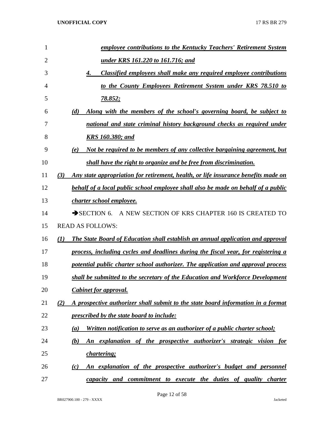| 1              | employee contributions to the Kentucky Teachers' Retirement System                                         |
|----------------|------------------------------------------------------------------------------------------------------------|
| $\overline{2}$ | <u>under KRS 161.220 to 161.716; and</u>                                                                   |
| 3              | Classified employees shall make any required employee contributions<br>4.                                  |
| 4              | to the County Employees Retirement System under KRS 78.510 to                                              |
| 5              | <u>78.852;</u>                                                                                             |
| 6              | Along with the members of the school's governing board, be subject to<br>(d)                               |
| 7              | national and state criminal history background checks as required under                                    |
| 8              | <u>KRS 160.380; and</u>                                                                                    |
| 9              | Not be required to be members of any collective bargaining agreement, but<br>(e)                           |
| 10             | shall have the right to organize and be free from discrimination.                                          |
| 11             | Any state appropriation for retirement, health, or life insurance benefits made on<br>(3)                  |
| 12             | <b>behalf of a local public school employee shall also be made on behalf of a public</b>                   |
| 13             | charter school employee.                                                                                   |
| 14             | $\rightarrow$ SECTION 6.<br>A NEW SECTION OF KRS CHAPTER 160 IS CREATED TO                                 |
| 15             | <b>READ AS FOLLOWS:</b>                                                                                    |
| 16             | <b>The State Board of Education shall establish an annual application and approval</b><br>$\mathcal{L}(I)$ |
| 17             | process, including cycles and deadlines during the fiscal year, for registering a                          |
| 18             | potential public charter school authorizer. The application and approval process                           |
| 19             | shall be submitted to the secretary of the Education and Workforce Development                             |
| 20             | <b>Cabinet for approval.</b>                                                                               |
| 21             | A prospective authorizer shall submit to the state board information in a format<br>(2)                    |
| 22             | prescribed by the state board to include:                                                                  |
| 23             | Written notification to serve as an authorizer of a public charter school;<br>(a)                          |
| 24             | An explanation of the prospective authorizer's strategic vision for<br>(b)                                 |
| 25             | <i>chartering;</i>                                                                                         |
| 26             | An explanation of the prospective authorizer's budget and personnel<br>(c)                                 |
| 27             | capacity and commitment to execute the duties of quality charter                                           |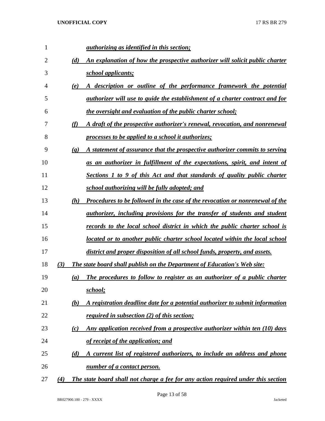| 1  |     |                             | <i>authorizing as identified in this section;</i>                                   |
|----|-----|-----------------------------|-------------------------------------------------------------------------------------|
| 2  |     | (d)                         | An explanation of how the prospective authorizer will solicit public charter        |
| 3  |     |                             | <i>school applicants;</i>                                                           |
| 4  |     | (e)                         | A description or outline of the performance framework the potential                 |
| 5  |     |                             | <i>authorizer will use to guide the establishment of a charter contract and for</i> |
| 6  |     |                             | the oversight and evaluation of the public charter school;                          |
| 7  |     | (f)                         | A draft of the prospective authorizer's renewal, revocation, and nonrenewal         |
| 8  |     |                             | processes to be applied to a school it authorizes;                                  |
| 9  |     | $\left( \mathbf{g} \right)$ | A statement of assurance that the prospective authorizer commits to serving         |
| 10 |     |                             | as an authorizer in fulfillment of the expectations, spirit, and intent of          |
| 11 |     |                             | Sections 1 to 9 of this Act and that standards of quality public charter            |
| 12 |     |                             | school authorizing will be fully adopted; and                                       |
| 13 |     | (h)                         | Procedures to be followed in the case of the revocation or nonrenewal of the        |
| 14 |     |                             | <i>authorizer, including provisions for the transfer of students and student</i>    |
| 15 |     |                             | records to the local school district in which the public charter school is          |
| 16 |     |                             | located or to another public charter school located within the local school         |
| 17 |     |                             | district and proper disposition of all school funds, property, and assets.          |
| 18 | (3) |                             | The state board shall publish on the Department of Education's Web site:            |
| 19 |     | $\left(a\right)$            | The procedures to follow to register as an authorizer of a public charter           |
| 20 |     |                             | school;                                                                             |
| 21 |     | (b)                         | A registration deadline date for a potential authorizer to submit information       |
| 22 |     |                             | <i>required in subsection (2) of this section;</i>                                  |
| 23 |     | (c)                         | Any application received from a prospective authorizer within ten (10) days         |
| 24 |     |                             | of receipt of the application; and                                                  |
| 25 |     | (d)                         | A current list of registered authorizers, to include an address and phone           |
| 26 |     |                             | number of a contact person.                                                         |
| 27 | (4) |                             | The state board shall not charge a fee for any action required under this section   |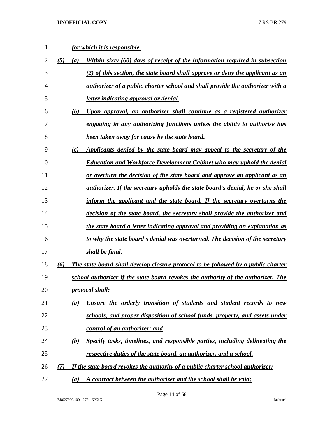| 1              |            | <u>for which it is responsible.</u>                                                   |
|----------------|------------|---------------------------------------------------------------------------------------|
| 2              | (5)<br>(a) | Within sixty (60) days of receipt of the information required in subsection           |
| 3              |            | (2) of this section, the state board shall approve or deny the applicant as an        |
| $\overline{4}$ |            | authorizer of a public charter school and shall provide the authorizer with a         |
| 5              |            | <u>letter indicating approval or denial.</u>                                          |
| 6              | (b)        | <u>Upon approval, an authorizer shall continue as a registered authorizer</u>         |
| 7              |            | engaging in any authorizing functions unless the ability to authorize has             |
| 8              |            | <b>been taken away for cause by the state board.</b>                                  |
| 9              | (c)        | Applicants denied by the state board may appeal to the secretary of the               |
| 10             |            | <b>Education and Workforce Development Cabinet who may uphold the denial</b>          |
| 11             |            | <u>or overturn the decision of the state board and approve an applicant as an</u>     |
| 12             |            | <i>authorizer. If the secretary upholds the state board's denial, he or she shall</i> |
| 13             |            | inform the applicant and the state board. If the secretary overturns the              |
| 14             |            | decision of the state board, the secretary shall provide the authorizer and           |
| 15             |            | <u>the state board a letter indicating approval and providing an explanation as</u>   |
| 16             |            | to why the state board's denial was overturned. The decision of the secretary         |
| 17             |            | <u>shall be final.</u>                                                                |
| 18             | (6)        | The state board shall develop closure protocol to be followed by a public charter     |
| 19             |            | school authorizer if the state board revokes the authority of the authorizer. The     |
| 20             |            | protocol shall:                                                                       |
| 21             | (a)        | Ensure the orderly transition of students and student records to new                  |
| 22             |            | schools, and proper disposition of school funds, property, and assets under           |
| 23             |            | control of an authorizer; and                                                         |
| 24             | (b)        | Specify tasks, timelines, and responsible parties, including delineating the          |
| 25             |            | <u>respective duties of the state board, an authorizer, and a school.</u>             |
| 26             | (7)        | If the state board revokes the authority of a public charter school authorizer:       |
| 27             | (a)        | A contract between the authorizer and the school shall be void;                       |

Page 14 of 58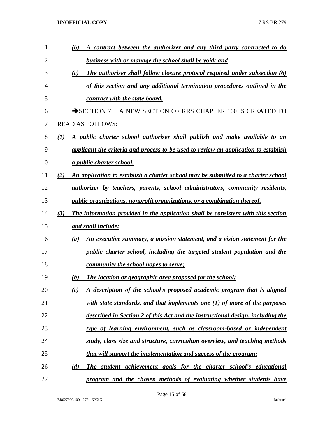| 1  | A contract between the authorizer and any third party contracted to do<br>(b)                 |
|----|-----------------------------------------------------------------------------------------------|
| 2  | <b>business with or manage the school shall be void; and</b>                                  |
| 3  | <b>The authorizer shall follow closure protocol required under subsection (6)</b><br>(c)      |
| 4  | of this section and any additional termination procedures outlined in the                     |
| 5  | contract with the state board.                                                                |
| 6  | A NEW SECTION OF KRS CHAPTER 160 IS CREATED TO<br>$\rightarrow$ SECTION 7.                    |
| 7  | <b>READ AS FOLLOWS:</b>                                                                       |
| 8  | A public charter school authorizer shall publish and make available to an<br>(I)              |
| 9  | applicant the criteria and process to be used to review an application to establish           |
| 10 | <u>a public charter school.</u>                                                               |
| 11 | An application to establish a charter school may be submitted to a charter school<br>(2)      |
| 12 | <i>authorizer by teachers, parents, school administrators, community residents,</i>           |
| 13 | <i>public organizations, nonprofit organizations, or a combination thereof.</i>               |
| 14 | (3)<br>The information provided in the application shall be consistent with this section      |
| 15 | and shall include:                                                                            |
| 16 | An executive summary, a mission statement, and a vision statement for the<br>$\left(a\right)$ |
| 17 | public charter school, including the targeted student population and the                      |
| 18 | <u>community the school hopes to serve;</u>                                                   |
| 19 | The location or geographic area proposed for the school;<br>(b)                               |
| 20 | A description of the school's proposed academic program that is aligned<br>(c)                |
| 21 | with state standards, and that implements one $(1)$ of more of the purposes                   |
| 22 | described in Section 2 of this Act and the instructional design, including the                |
| 23 | type of learning environment, such as classroom-based or independent                          |
| 24 | study, class size and structure, curriculum overview, and teaching methods                    |
| 25 | that will support the implementation and success of the program;                              |
| 26 | (d)<br>The student achievement goals for the charter school's educational                     |
| 27 | program and the chosen methods of evaluating whether students have                            |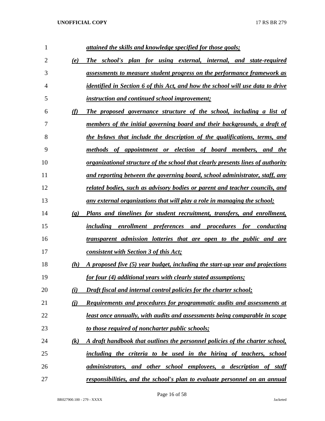| 1  |                             | attained the skills and knowledge specified for those goals;                           |
|----|-----------------------------|----------------------------------------------------------------------------------------|
| 2  | (e)                         | The school's plan for using external, internal, and state-required                     |
| 3  |                             | assessments to measure student progress on the performance framework as                |
| 4  |                             | identified in Section 6 of this Act, and how the school will use data to drive         |
| 5  |                             | <i>instruction and continued school improvement;</i>                                   |
| 6  | (f)                         | The proposed governance structure of the school, including a list of                   |
| 7  |                             | members of the initial governing board and their backgrounds, a draft of               |
| 8  |                             | the bylaws that include the description of the qualifications, terms, and              |
| 9  |                             | methods of appointment or election of board members, and the                           |
| 10 |                             | <u>organizational structure of the school that clearly presents lines of authority</u> |
| 11 |                             | and reporting between the governing board, school administrator, staff, any            |
| 12 |                             | related bodies, such as advisory bodies or parent and teacher councils, and            |
| 13 |                             | <u>any external organizations that will play a role in managing the school;</u>        |
| 14 | $\left( \mathbf{g} \right)$ | Plans and timelines for student recruitment, transfers, and enrollment,                |
| 15 |                             | including enrollment preferences and procedures for conducting                         |
| 16 |                             | transparent admission lotteries that are open to the public and are                    |
| 17 |                             | consistent with Section 3 of this Act;                                                 |
| 18 | (h)                         | A proposed five (5) year budget, including the start-up year and projections           |
| 19 |                             | for four (4) additional years with clearly stated assumptions;                         |
| 20 | (i)                         | Draft fiscal and internal control policies for the charter school;                     |
| 21 | (i)                         | Requirements and procedures for programmatic audits and assessments at                 |
| 22 |                             | least once annually, with audits and assessments being comparable in scope             |
| 23 |                             | to those required of noncharter public schools;                                        |
| 24 | (k)                         | A draft handbook that outlines the personnel policies of the charter school,           |
| 25 |                             | including the criteria to be used in the hiring of teachers, school                    |
| 26 |                             | administrators, and other school employees, a description of staff                     |
| 27 |                             | responsibilities, and the school's plan to evaluate personnel on an annual             |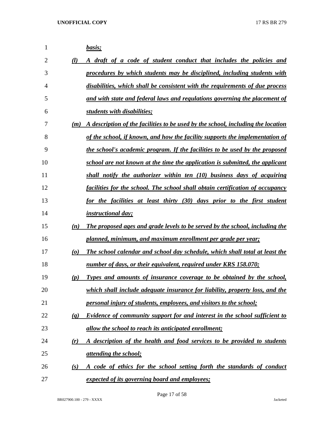| 1              |                                 | basis;                                                                           |
|----------------|---------------------------------|----------------------------------------------------------------------------------|
| $\overline{2}$ | (l)                             | A draft of a code of student conduct that includes the policies and              |
| 3              |                                 | procedures by which students may be disciplined, including students with         |
| $\overline{4}$ |                                 | disabilities, which shall be consistent with the requirements of due process     |
| 5              |                                 | and with state and federal laws and regulations governing the placement of       |
| 6              |                                 | students with disabilities;                                                      |
| 7              | (m)                             | A description of the facilities to be used by the school, including the location |
| 8              |                                 | of the school, if known, and how the facility supports the implementation of     |
| 9              |                                 | the school's academic program. If the facilities to be used by the proposed      |
| 10             |                                 | school are not known at the time the application is submitted, the applicant     |
| 11             |                                 | shall notify the authorizer within ten $(10)$ business days of acquiring         |
| 12             |                                 | facilities for the school. The school shall obtain certification of occupancy    |
| 13             |                                 | for the facilities at least thirty (30) days prior to the first student          |
| 14             |                                 | <i>instructional day;</i>                                                        |
| 15             | (n)                             | The proposed ages and grade levels to be served by the school, including the     |
| 16             |                                 | planned, minimum, and maximum enrollment per grade per year;                     |
| 17             | $\boldsymbol{\left( o \right)}$ | The school calendar and school day schedule, which shall total at least the      |
| 18             |                                 | number of days, or their equivalent, required under KRS 158.070;                 |
| 19             | (p)                             | Types and amounts of insurance coverage to be obtained by the school,            |
| 20             |                                 | which shall include adequate insurance for liability, property loss, and the     |
| 21             |                                 | personal injury of students, employees, and visitors to the school;              |
| 22             | $\left(\mathbf{q}\right)$       | Evidence of community support for and interest in the school sufficient to       |
| 23             |                                 | allow the school to reach its anticipated enrollment;                            |
| 24             | (r)                             | A description of the health and food services to be provided to students         |
| 25             |                                 | <u>attending the school;</u>                                                     |
| 26             | (s)                             | A code of ethics for the school setting forth the standards of conduct           |
| 27             |                                 | expected of its governing board and employees;                                   |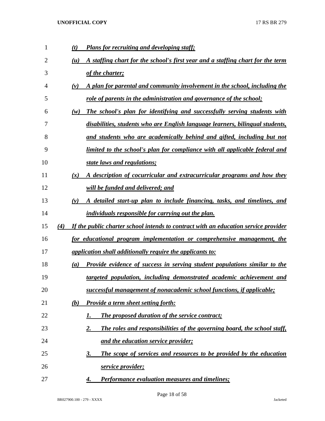| 1              | <b>Plans for recruiting and developing staff;</b><br>(t)                                   |
|----------------|--------------------------------------------------------------------------------------------|
| $\overline{2}$ | A staffing chart for the school's first year and a staffing chart for the term<br>(u)      |
| 3              | of the charter;                                                                            |
| 4              | A plan for parental and community involvement in the school, including the<br>$(\nu)$      |
| 5              | role of parents in the administration and governance of the school;                        |
| 6              | The school's plan for identifying and successfully serving students with<br>(w)            |
| 7              | disabilities, students who are English language learners, bilingual students,              |
| 8              | and students who are academically behind and gifted, including but not                     |
| 9              | <u>limited to the school's plan for compliance with all applicable federal and</u>         |
| 10             | state laws and regulations;                                                                |
| 11             | A description of cocurricular and extracurricular programs and how they<br>(x)             |
| 12             | will be funded and delivered; and                                                          |
| 13             | A detailed start-up plan to include financing, tasks, and timelines, and<br>(y)            |
| 14             | <i>individuals responsible for carrying out the plan.</i>                                  |
| 15             | If the public charter school intends to contract with an education service provider<br>(4) |
| 16             | for educational program implementation or comprehensive management, the                    |
| 17             | <i>application shall additionally require the applicants to:</i>                           |
| 18             | <b>Provide evidence of success in serving student populations similar to the</b><br>(a)    |
| 19             | targeted population, including demonstrated academic achievement and                       |
| 20             | successful management of nonacademic school functions, if applicable;                      |
| 21             | <b>Provide a term sheet setting forth:</b><br>(b)                                          |
| 22             | The proposed duration of the service contract;<br>1.                                       |
| 23             | The roles and responsibilities of the governing board, the school staff,<br>2.             |
| 24             | and the education service provider;                                                        |
| 25             | The scope of services and resources to be provided by the education<br>3.                  |
| 26             | service provider;                                                                          |
| 27             | Performance evaluation measures and timelines;<br>4.                                       |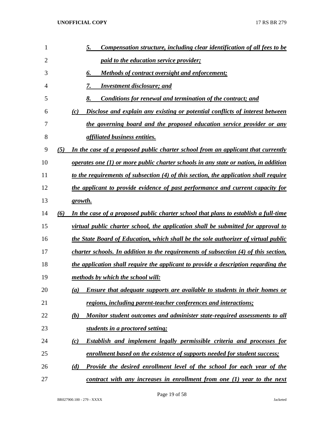| 1              |     | Compensation structure, including clear identification of all fees to be<br><u>5.</u>      |
|----------------|-----|--------------------------------------------------------------------------------------------|
| $\overline{2}$ |     | <i>paid to the education service provider;</i>                                             |
| 3              |     | 6.<br>Methods of contract oversight and enforcement;                                       |
| 4              |     | 7.<br><b>Investment disclosure; and</b>                                                    |
| 5              |     | 8.<br><b>Conditions for renewal and termination of the contract; and</b>                   |
| 6              |     | <u>Disclose and explain any existing or potential conflicts of interest between</u><br>(c) |
| 7              |     | the governing board and the proposed education service provider or any                     |
| 8              |     | <i>affiliated business entities.</i>                                                       |
| 9              | (5) | In the case of a proposed public charter school from an applicant that currently           |
| 10             |     | operates one $(1)$ or more public charter schools in any state or nation, in addition      |
| 11             |     | to the requirements of subsection (4) of this section, the application shall require       |
| 12             |     | the applicant to provide evidence of past performance and current capacity for             |
| 13             |     | growth.                                                                                    |
| 14             | (6) | In the case of a proposed public charter school that plans to establish a full-time        |
| 15             |     | virtual public charter school, the application shall be submitted for approval to          |
| 16             |     | the State Board of Education, which shall be the sole authorizer of virtual public         |
| 17             |     | charter schools. In addition to the requirements of subsection (4) of this section,        |
| 18             |     | the application shall require the applicant to provide a description regarding the         |
| 19             |     | methods by which the school will:                                                          |
| 20             |     | Ensure that adequate supports are available to students in their homes or<br>(a)           |
| 21             |     | regions, including parent-teacher conferences and interactions;                            |
| 22             |     | Monitor student outcomes and administer state-required assessments to all<br>(b)           |
| 23             |     | students in a proctored setting;                                                           |
| 24             |     | <b>Establish and implement legally permissible criteria and processes for</b><br>(c)       |
| 25             |     | enrollment based on the existence of supports needed for student success;                  |
| 26             |     | (d)<br><b>Provide the desired enrollment level of the school for each year of the</b>      |
| 27             |     | contract with any increases in enrollment from one (1) year to the next                    |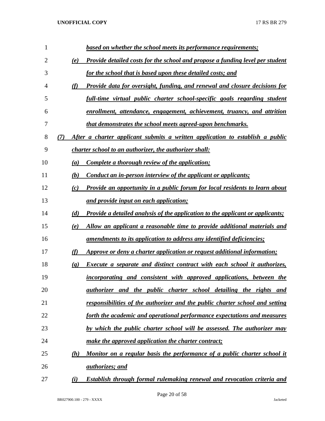| 1              | based on whether the school meets its performance requirements;                                                |
|----------------|----------------------------------------------------------------------------------------------------------------|
| $\overline{2}$ | Provide detailed costs for the school and propose a funding level per student<br>(e)                           |
| 3              | for the school that is based upon these detailed costs; and                                                    |
| 4              | Provide data for oversight, funding, and renewal and closure decisions for<br>(f)                              |
| 5              | full-time virtual public charter school-specific goals regarding student                                       |
| 6              | enrollment, attendance, engagement, achievement, truancy, and attrition                                        |
| 7              | that demonstrates the school meets agreed-upon benchmarks.                                                     |
| 8              | After a charter applicant submits a written application to establish a public<br>(7)                           |
| 9              | <i>charter school to an authorizer, the authorizer shall:</i>                                                  |
| 10             | Complete a thorough review of the application;<br>(a)                                                          |
| 11             | (b)<br>Conduct an in-person interview of the applicant or applicants;                                          |
| 12             | Provide an opportunity in a public forum for local residents to learn about<br>(c)                             |
| 13             | and provide input on each application;                                                                         |
| 14             | <b>Provide a detailed analysis of the application to the applicant or applicants;</b><br>(d)                   |
| 15             | Allow an applicant a reasonable time to provide additional materials and<br>(e)                                |
| 16             | amendments to its application to address any identified deficiencies;                                          |
| 17             | Approve or deny a charter application or request additional information;<br>(f)                                |
| 18             | <b>Execute a separate and distinct contract with each school it authorizes,</b><br>$\left( \mathbf{g} \right)$ |
| 19             | incorporating and consistent with approved applications, between the                                           |
| 20             | <i>authorizer</i> and the public charter school detailing the rights and                                       |
| 21             | responsibilities of the authorizer and the public charter school and setting                                   |
| 22             | forth the academic and operational performance expectations and measures                                       |
| 23             | by which the public charter school will be assessed. The authorizer may                                        |
| 24             | make the approved application the charter contract;                                                            |
| 25             | Monitor on a regular basis the performance of a public charter school it<br>(h)                                |
| 26             | <u>authorizes; and</u>                                                                                         |
| 27             | (i)<br><b>Establish through formal rulemaking renewal and revocation criteria and</b>                          |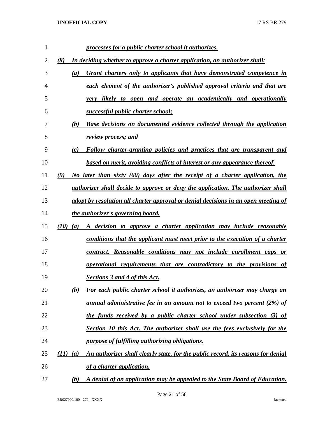| 1  |            |     | processes for a public charter school it authorizes.                               |
|----|------------|-----|------------------------------------------------------------------------------------|
| 2  | (8)        |     | In deciding whether to approve a charter application, an authorizer shall:         |
| 3  |            | (a) | Grant charters only to applicants that have demonstrated competence in             |
| 4  |            |     | each element of the authorizer's published approval criteria and that are          |
| 5  |            |     | likely to open and operate an academically and operationally<br>very               |
| 6  |            |     | successful public charter school;                                                  |
| 7  |            | (b) | Base decisions on documented evidence collected through the application            |
| 8  |            |     | review process; and                                                                |
| 9  |            | (c) | Follow charter-granting policies and practices that are transparent and            |
| 10 |            |     | based on merit, avoiding conflicts of interest or any appearance thereof.          |
| 11 | (9)        |     | No later than sixty (60) days after the receipt of a charter application, the      |
| 12 |            |     | authorizer shall decide to approve or deny the application. The authorizer shall   |
| 13 |            |     | adopt by resolution all charter approval or denial decisions in an open meeting of |
| 14 |            |     | the authorizer's governing board.                                                  |
| 15 | (10)       | (a) | A decision to approve a charter application may include reasonable                 |
| 16 |            |     | conditions that the applicant must meet prior to the execution of a charter        |
| 17 |            |     | contract. Reasonable conditions may not include enrollment caps or                 |
| 18 |            |     | operational requirements that are contradictory to the provisions of               |
| 19 |            |     | Sections 3 and 4 of this Act.                                                      |
| 20 |            | (b) | For each public charter school it authorizes, an authorizer may charge an          |
| 21 |            |     | annual administrative fee in an amount not to exceed two percent (2%) of           |
| 22 |            |     | the funds received by a public charter school under subsection (3) of              |
| 23 |            |     | <b>Section 10 this Act. The authorizer shall use the fees exclusively for the</b>  |
| 24 |            |     | purpose of fulfilling authorizing obligations.                                     |
| 25 | $(11)$ (a) |     | An authorizer shall clearly state, for the public record, its reasons for denial   |
| 26 |            |     | of a charter application.                                                          |
| 27 |            | (b) | A denial of an application may be appealed to the State Board of Education.        |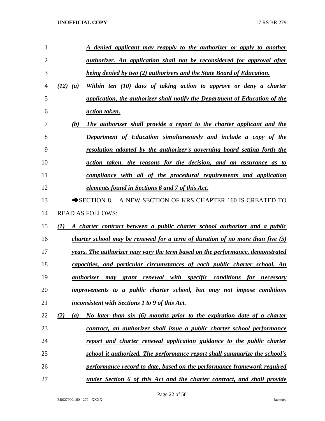| 1  | denied applicant may reapply to the authorizer or apply to another                                |
|----|---------------------------------------------------------------------------------------------------|
| 2  | <u>authorizer. An application shall not be reconsidered for approval after</u>                    |
| 3  | <b>being denied by two (2) authorizers and the State Board of Education.</b>                      |
| 4  | (12)<br>Within ten (10) days of taking action to approve or deny a charter<br>$\left( a\right)$   |
| 5  | application, the authorizer shall notify the Department of Education of the                       |
| 6  | <i><u>action taken.</u></i>                                                                       |
| 7  | (b)<br>The authorizer shall provide a report to the charter applicant and the                     |
| 8  | <b>Department of Education simultaneously and include a copy of the</b>                           |
| 9  | <u>resolution adopted by the authorizer's governing board setting forth the</u>                   |
| 10 | <u>action taken, the reasons for the decision, and an assurance as to</u>                         |
| 11 | compliance with all of the procedural requirements and application                                |
| 12 | <u>elements found in Sections 6 and 7 of this Act.</u>                                            |
| 13 | SECTION 8. A NEW SECTION OF KRS CHAPTER 160 IS CREATED TO                                         |
| 14 | <b>READ AS FOLLOWS:</b>                                                                           |
| 15 | A charter contract between a public charter school authorizer and a public<br>(I)                 |
| 16 | <i>charter school may be renewed for a term of duration of no more than five <math>(5)</math></i> |
| 17 | years. The authorizer may vary the term based on the performance, demonstrated                    |
| 18 | capacities, and particular circumstances of each public charter school. An                        |
| 19 | may grant renewal with specific conditions<br>for <u>necessary</u><br><i>authorizer</i>           |
| 20 | improvements to a public charter school, but may not impose conditions                            |
| 21 | inconsistent with Sections 1 to 9 of this Act.                                                    |
| 22 | No later than six (6) months prior to the expiration date of a charter<br>(2)<br>(a)              |
| 23 | contract, an authorizer shall issue a public charter school performance                           |
| 24 | report and charter renewal application guidance to the public charter                             |
| 25 | school it authorized. The performance report shall summarize the school's                         |
| 26 | performance record to date, based on the performance framework required                           |
| 27 | under Section 6 of this Act and the charter contract, and shall provide                           |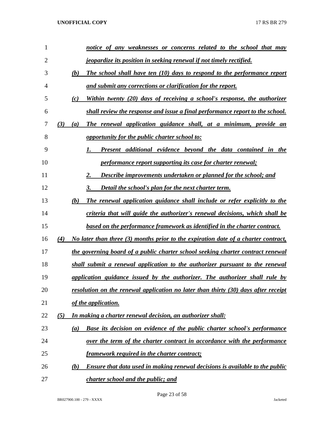| 1              |     | notice of any weaknesses or concerns related to the school that may                        |
|----------------|-----|--------------------------------------------------------------------------------------------|
| $\overline{2}$ |     | <u>jeopardize its position in seeking renewal if not timely rectified.</u>                 |
| 3              |     | The school shall have ten (10) days to respond to the performance report<br>(b)            |
| 4              |     | and submit any corrections or clarification for the report.                                |
| 5              |     | Within twenty (20) days of receiving a school's response, the authorizer<br>(c)            |
| 6              |     | shall review the response and issue a final performance report to the school.              |
| 7              | (3) | The renewal application guidance shall, at a minimum, provide an<br>(a)                    |
| 8              |     | <i>opportunity for the public charter school to:</i>                                       |
| 9              |     | Present additional evidence beyond the data contained in the<br>1.                         |
| 10             |     | <i>performance report supporting its case for charter renewal;</i>                         |
| 11             |     | <b>Describe improvements undertaken or planned for the school; and</b>                     |
| 12             |     | Detail the school's plan for the next charter term.<br>3.                                  |
| 13             |     | (b)<br>The renewal application guidance shall include or refer explicitly to the           |
| 14             |     | criteria that will guide the authorizer's renewal decisions, which shall be                |
| 15             |     | based on the performance framework as identified in the charter contract.                  |
| 16             | (4) | No later than three (3) months prior to the expiration date of a charter contract,         |
| 17             |     | the governing board of a public charter school seeking charter contract renewal            |
| 18             |     | shall submit a renewal application to the authorizer pursuant to the renewal               |
| 19             |     | application guidance issued by the authorizer. The authorizer shall rule by                |
| 20             |     | resolution on the renewal application no later than thirty (30) days after receipt         |
| 21             |     | of the application.                                                                        |
| 22             | (5) | <u>In making a charter renewal decision, an authorizer shall:</u>                          |
| 23             |     | <b>Base its decision on evidence of the public charter school's performance</b><br>(a)     |
| 24             |     | over the term of the charter contract in accordance with the performance                   |
| 25             |     | <b>framework required in the charter contract;</b>                                         |
| 26             |     | <b>Ensure that data used in making renewal decisions is available to the public</b><br>(b) |
| 27             |     | <i>charter school and the public; and</i>                                                  |

Page 23 of 58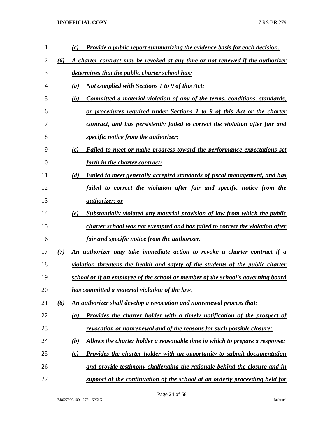| 1  |     | Provide a public report summarizing the evidence basis for each decision.<br>(c)        |
|----|-----|-----------------------------------------------------------------------------------------|
| 2  | (6) | A charter contract may be revoked at any time or not renewed if the authorizer          |
| 3  |     | determines that the public charter school has:                                          |
| 4  |     | <b>Not complied with Sections 1 to 9 of this Act:</b><br>(a)                            |
| 5  |     | Committed a material violation of any of the terms, conditions, standards,<br>(b)       |
| 6  |     | or procedures required under Sections 1 to 9 of this Act or the charter                 |
| 7  |     | contract, and has persistently failed to correct the violation after fair and           |
| 8  |     | <i>specific notice from the authorizer;</i>                                             |
| 9  |     | Failed to meet or make progress toward the performance expectations set<br>(c)          |
| 10 |     | forth in the charter contract;                                                          |
| 11 |     | (d)<br>Failed to meet generally accepted standards of fiscal management, and has        |
| 12 |     | failed to correct the violation after fair and specific notice from the                 |
| 13 |     | <i>authorizer</i> ; or                                                                  |
| 14 |     | Substantially violated any material provision of law from which the public<br>(e)       |
| 15 |     | charter school was not exempted and has failed to correct the violation after           |
| 16 |     | <u>fair and specific notice from the authorizer.</u>                                    |
| 17 | (7) | An authorizer may take immediate action to revoke a charter contract if a               |
| 18 |     | violation threatens the health and safety of the students of the public charter         |
| 19 |     | school or if an employee of the school or member of the school's governing board        |
| 20 |     | has committed a material violation of the law.                                          |
| 21 | (8) | An authorizer shall develop a revocation and nonrenewal process that:                   |
| 22 |     | <b>Provides the charter holder with a timely notification of the prospect of</b><br>(a) |
| 23 |     | revocation or nonrenewal and of the reasons for such possible closure;                  |
| 24 |     | Allows the charter holder a reasonable time in which to prepare a response;<br>(b)      |
| 25 |     | <b>Provides the charter holder with an opportunity to submit documentation</b><br>(c)   |
| 26 |     | and provide testimony challenging the rationale behind the closure and in               |
| 27 |     | support of the continuation of the school at an orderly proceeding held for             |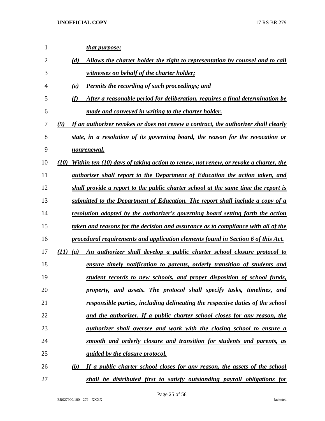| 1              | <u>that purpose;</u>                                                                                 |
|----------------|------------------------------------------------------------------------------------------------------|
| $\overline{2}$ | Allows the charter holder the right to representation by counsel and to call<br>(d)                  |
| 3              | witnesses on behalf of the charter holder;                                                           |
| $\overline{4}$ | <b>Permits the recording of such proceedings; and</b><br>(e)                                         |
| 5              | After a reasonable period for deliberation, requires a final determination be<br>(f)                 |
| 6              | made and conveyed in writing to the charter holder.                                                  |
| 7              | (9)<br>If an authorizer revokes or does not renew a contract, the authorizer shall clearly           |
| 8              | state, in a resolution of its governing board, the reason for the revocation or                      |
| 9              | <u>nonrenewal.</u>                                                                                   |
| 10             | Within ten (10) days of taking action to renew, not renew, or revoke a charter, the<br>(10)          |
| 11             | <i>authorizer shall report to the Department of Education the action taken, and</i>                  |
| 12             | shall provide a report to the public charter school at the same time the report is                   |
| 13             | submitted to the Department of Education. The report shall include a copy of a                       |
| 14             | resolution adopted by the authorizer's governing board setting forth the action                      |
| 15             | taken and reasons for the decision and assurance as to compliance with all of the                    |
| 16             | procedural requirements and application elements found in Section 6 of this Act.                     |
| 17             | An authorizer shall develop a public charter school closure protocol to<br>(11)<br>$\left( a\right)$ |
| 18             | ensure timely notification to parents, orderly transition of students and                            |
| 19             | student records to new schools, and proper disposition of school funds,                              |
| 20             | property, and assets. The protocol shall specify tasks, timelines, and                               |
| 21             | responsible parties, including delineating the respective duties of the school                       |
| 22             | and the authorizer. If a public charter school closes for any reason, the                            |
| 23             | <i>authorizer shall oversee and work with the closing school to ensure a</i>                         |
| 24             | smooth and orderly closure and transition for students and parents, as                               |
| 25             | <i><u><b>guided by the closure protocol.</b></u></i>                                                 |
| 26             | If a public charter school closes for any reason, the assets of the school<br>(b)                    |
| 27             | shall be distributed first to satisfy outstanding payroll obligations for                            |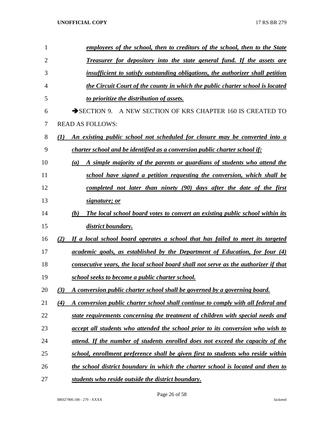| 1              | employees of the school, then to creditors of the school, then to the State             |
|----------------|-----------------------------------------------------------------------------------------|
| $\overline{2}$ | Treasurer for depository into the state general fund. If the assets are                 |
| 3              | insufficient to satisfy outstanding obligations, the authorizer shall petition          |
| 4              | the Circuit Court of the county in which the public charter school is located           |
| 5              | to prioritize the distribution of assets.                                               |
| 6              | SECTION 9. A NEW SECTION OF KRS CHAPTER 160 IS CREATED TO                               |
| 7              | <b>READ AS FOLLOWS:</b>                                                                 |
| 8              | An existing public school not scheduled for closure may be converted into a<br>(I)      |
| 9              | charter school and be identified as a conversion public charter school if:              |
| 10             | A simple majority of the parents or guardians of students who attend the<br>(a)         |
| 11             | school have signed a petition requesting the conversion, which shall be                 |
| 12             | completed not later than ninety (90) days after the date of the first                   |
| 13             | signature; or                                                                           |
| 14             | The local school board votes to convert an existing public school within its<br>(b)     |
| 15             | district boundary.                                                                      |
| 16             | If a local school board operates a school that has failed to meet its targeted<br>(2)   |
| 17             | academic goals, as established by the Department of Education, for four (4)             |
| 18             | consecutive years, the local school board shall not serve as the authorizer if that     |
| 19             | school seeks to become a public charter school.                                         |
| 20             | A conversion public charter school shall be governed by a governing board.<br>(3)       |
| 21             | (4)<br>A conversion public charter school shall continue to comply with all federal and |
| 22             | state requirements concerning the treatment of children with special needs and          |
| 23             | accept all students who attended the school prior to its conversion who wish to         |
| 24             | attend. If the number of students enrolled does not exceed the capacity of the          |
| 25             | school, enrollment preference shall be given first to students who reside within        |
| 26             | the school district boundary in which the charter school is located and then to         |
| 27             | students who reside outside the district boundary.                                      |

Page 26 of 58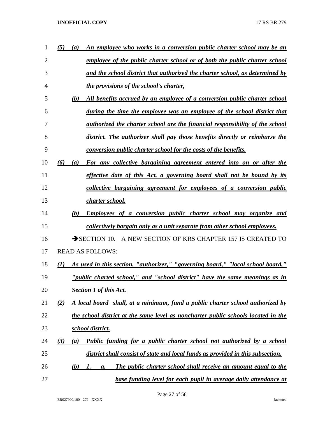| 1              | (5) | $\boldsymbol{a}$ | An employee who works in a conversion public charter school may be an                |
|----------------|-----|------------------|--------------------------------------------------------------------------------------|
| $\overline{2}$ |     |                  | employee of the public charter school or of both the public charter school           |
| 3              |     |                  | and the school district that authorized the charter school, as determined by         |
| 4              |     |                  | <i>the provisions of the school's charter,</i>                                       |
| 5              |     | (b)              | All benefits accrued by an employee of a conversion public charter school            |
| 6              |     |                  | during the time the employee was an employee of the school district that             |
| 7              |     |                  | <i>authorized the charter school are the financial responsibility of the school</i>  |
| 8              |     |                  | district. The authorizer shall pay those benefits directly or reimburse the          |
| 9              |     |                  | <u>conversion public charter school for the costs of the benefits.</u>               |
| 10             | (6) | (a)              | For any collective bargaining agreement entered into on or after the                 |
| 11             |     |                  | effective date of this Act, a governing board shall not be bound by its              |
| 12             |     |                  | collective bargaining agreement for employees of a conversion public                 |
| 13             |     |                  | charter school.                                                                      |
| 14             |     | (b)              | <b>Employees of a conversion public charter school may organize and</b>              |
| 15             |     |                  | <u>collectively bargain only as a unit separate from other school employees.</u>     |
| 16             |     |                  | SECTION 10. A NEW SECTION OF KRS CHAPTER 157 IS CREATED TO                           |
| 17             |     |                  | <b>READ AS FOLLOWS:</b>                                                              |
| 18             | (I) |                  | As used in this section, "authorizer," "governing board," "local school board,"      |
| 19             |     |                  | " <i>public charted school</i> ," and "school district" have the same meanings as in |
| 20             |     |                  | <b>Section 1 of this Act.</b>                                                        |
| 21             | (2) |                  | A local board shall, at a minimum, fund a public charter school authorized by        |
| 22             |     |                  | the school district at the same level as noncharter public schools located in the    |
| 23             |     |                  | school district.                                                                     |
| 24             | (3) | (a)              | Public funding for a public charter school not authorized by a school                |
| 25             |     |                  | district shall consist of state and local funds as provided in this subsection.      |
| 26             |     | <u>(b)</u>       | The public charter school shall receive an amount equal to the<br>1.<br><b>a</b> .   |
| 27             |     |                  | base funding level for each pupil in average daily attendance at                     |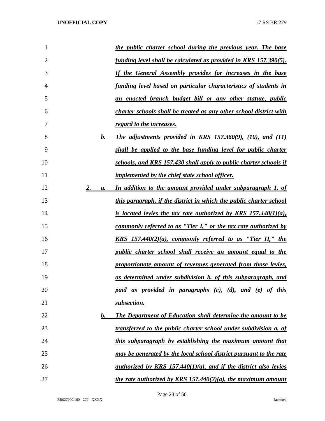| 1              |                | the public charter school during the previous year. The base              |
|----------------|----------------|---------------------------------------------------------------------------|
| $\overline{2}$ |                | <u>funding level shall be calculated as provided in KRS 157.390(5).</u>   |
| 3              |                | If the General Assembly provides for increases in the base                |
| 4              |                | <u>funding level based on particular characteristics of students in</u>   |
| 5              |                | <u>an enacted branch budget bill or any other statute, public</u>         |
| 6              |                | <b>charter schools shall be treated as any other school district with</b> |
| 7              |                | regard to the increases.                                                  |
| 8              | b.             | The adjustments provided in KRS $157.360(9)$ , $(10)$ , and $(11)$        |
| 9              |                | shall be applied to the base funding level for public charter             |
| 10             |                | schools, and KRS 157.430 shall apply to public charter schools if         |
| 11             |                | <i>implemented by the chief state school officer.</i>                     |
| 12             | 2.<br>a.       | In addition to the amount provided under subparagraph 1. of               |
| 13             |                | this paragraph, if the district in which the public charter school        |
| 14             |                | is located levies the tax rate authorized by KRS $157.440(1)(a)$ ,        |
| 15             |                | <u>commonly referred to as "Tier I," or the tax rate authorized by</u>    |
| 16             |                | <u>KRS 157.440(2)(a), commonly referred to as "Tier II," the</u>          |
| 17             |                | <i>public charter school shall receive an amount equal to the</i>         |
| 18             |                | proportionate amount of revenues generated from those levies,             |
| 19             |                | as determined under subdivision b. of this subparagraph, and              |
| 20             |                | paid as provided in paragraphs (c), (d), and (e) of this                  |
| 21             |                | subsection.                                                               |
| 22             | $\mathbf{b}$ . | The Department of Education shall determine the amount to be              |
| 23             |                | transferred to the public charter school under subdivision a. of          |
| 24             |                | this subparagraph by establishing the maximum amount that                 |
| 25             |                | may be generated by the local school district pursuant to the rate        |
| 26             |                | authorized by KRS 157.440(1)(a), and if the district also levies          |
| 27             |                | the rate authorized by KRS 157.440(2)(a), the maximum amount              |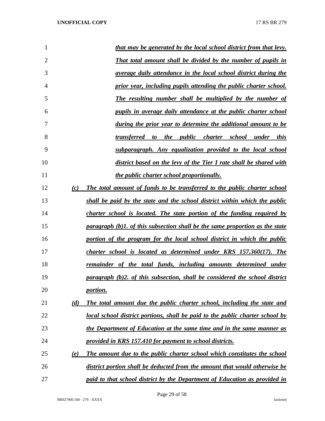| 1              |     | that may be generated by the local school district from that levy.                   |
|----------------|-----|--------------------------------------------------------------------------------------|
| $\overline{2}$ |     | <b>That total amount shall be divided by the number of pupils in</b>                 |
| 3              |     | average daily attendance in the local school district during the                     |
| 4              |     | prior year, including pupils attending the public charter school.                    |
| 5              |     | The resulting number shall be multiplied by the number of                            |
| 6              |     | pupils in average daily attendance at the public charter school                      |
| 7              |     | during the prior year to determine the additional amount to be                       |
| 8              |     | transferred to the public charter school under this                                  |
| 9              |     | subparagraph. Any equalization provided to the local school                          |
| 10             |     | district based on the levy of the Tier I rate shall be shared with                   |
| 11             |     | the public charter school proportionally.                                            |
| 12             | (c) | The total amount of funds to be transferred to the public charter school             |
| 13             |     | shall be paid by the state and the school district within which the public           |
| 14             |     | charter school is located. The state portion of the funding required by              |
| 15             |     | <u>paragraph (b)1, of this subsection shall be the same proportion as the state</u>  |
| 16             |     | portion of the program for the local school district in which the public             |
| 17             |     | charter school is located as determined under KRS 157.360(17). The                   |
| 18             |     | remainder of the total funds, including amounts determined under                     |
| 19             |     | paragraph (b)2. of this subsection, shall be considered the school district          |
| 20             |     | <i>portion.</i>                                                                      |
| 21             | (d) | The total amount due the public charter school, including the state and              |
| 22             |     | <u>local school district portions, shall be paid to the public charter school by</u> |
| 23             |     | the Department of Education at the same time and in the same manner as               |
| 24             |     | provided in KRS 157.410 for payment to school districts.                             |
| 25             | (e) | The amount due to the public charter school which constitutes the school             |
| 26             |     | district portion shall be deducted from the amount that would otherwise be           |
| 27             |     | paid to that school district by the Department of Education as provided in           |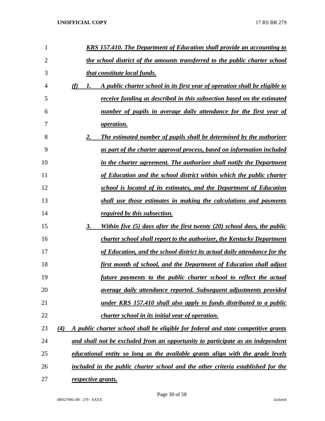| 1              | <b>KRS 157.410. The Department of Education shall provide an accounting to</b>            |
|----------------|-------------------------------------------------------------------------------------------|
| $\overline{2}$ | the school district of the amounts transferred to the public charter school               |
| 3              | that constitute local funds.                                                              |
| 4              | (f)<br>A public charter school in its first year of operation shall be eligible to<br>1.  |
| 5              | <i>receive funding as described in this subsection based on the estimated</i>             |
| 6              | number of pupils in average daily attendance for the first year of                        |
| 7              | <i><u><b>operation.</b></u></i>                                                           |
| 8              | The estimated number of pupils shall be determined by the authorizer<br>2.                |
| 9              | as part of the charter approval process, based on information included                    |
| 10             | in the charter agreement. The authorizer shall notify the Department                      |
| 11             | of Education and the school district within which the public charter                      |
| 12             | school is located of its estimates, and the Department of Education                       |
| 13             | shall use those estimates in making the calculations and payments                         |
| 14             | <i>required by this subsection.</i>                                                       |
| 15             | Within five (5) days after the first twenty (20) school days, the public<br>3.            |
| 16             | <b>charter school shall report to the authorizer, the Kentucky Department</b>             |
| 17             | of Education, and the school district its actual daily attendance for the                 |
| 18             | <u>first month of school, and the Department of Education shall adjust</u>                |
| 19             | future payments to the public charter school to reflect the actual                        |
| 20             | average daily attendance reported. Subsequent adjustments provided                        |
| 21             | under KRS 157.410 shall also apply to funds distributed to a public                       |
| 22             | charter school in its initial year of operation.                                          |
| 23             | A public charter school shall be eligible for federal and state competitive grants<br>(4) |
| 24             | and shall not be excluded from an opportunity to participate as an independent            |
| 25             | educational entity so long as the available grants align with the grade levels            |
| 26             | included in the public charter school and the other criteria established for the          |
| 27             | respective grants.                                                                        |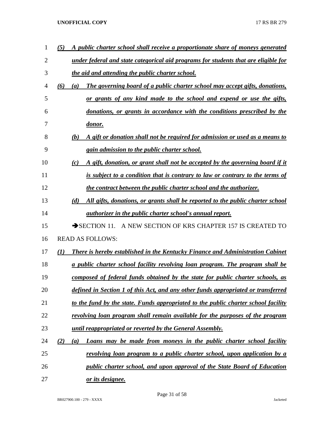| 1              | A public charter school shall receive a proportionate share of moneys generated<br>(5)    |
|----------------|-------------------------------------------------------------------------------------------|
| $\overline{2}$ | under federal and state categorical aid programs for students that are eligible for       |
| 3              | the aid and attending the public charter school.                                          |
| 4              | (6)<br>The governing board of a public charter school may accept gifts, donations,<br>(a) |
| 5              | or grants of any kind made to the school and expend or use the gifts,                     |
| 6              | donations, or grants in accordance with the conditions prescribed by the                  |
| 7              | <u>donor.</u>                                                                             |
| 8              | A gift or donation shall not be required for admission or used as a means to<br>(b)       |
| 9              | <i>gain admission to the public charter school.</i>                                       |
| 10             | A gift, donation, or grant shall not be accepted by the governing board if it<br>(c)      |
| 11             | is subject to a condition that is contrary to law or contrary to the terms of             |
| 12             | the contract between the public charter school and the authorizer.                        |
| 13             | All gifts, donations, or grants shall be reported to the public charter school<br>(d)     |
| 14             | <i>authorizer in the public charter school's annual report.</i>                           |
| 15             | $\rightarrow$ SECTION 11.<br>A NEW SECTION OF KRS CHAPTER 157 IS CREATED TO               |
| 16             | <b>READ AS FOLLOWS:</b>                                                                   |
| 17             | (I)<br>There is hereby established in the Kentucky Finance and Administration Cabinet     |
| 18             | a public charter school facility revolving loan program. The program shall be             |
| 19             | composed of federal funds obtained by the state for public charter schools, as            |
| 20             | defined in Section 1 of this Act, and any other funds appropriated or transferred         |
| 21             | to the fund by the state. Funds appropriated to the public charter school facility        |
| 22             | revolving loan program shall remain available for the purposes of the program             |
| 23             | until reappropriated or reverted by the General Assembly.                                 |
| 24             | (2)<br>Loans may be made from moneys in the public charter school facility<br>(a)         |
| 25             | <u>revolving loan program to a public charter school, upon application by a</u>           |
| 26             | public charter school, and upon approval of the State Board of Education                  |
| 27             | or its designee.                                                                          |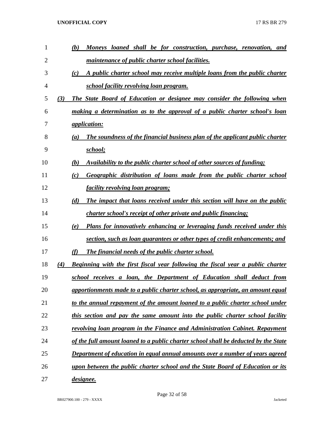| 1  |     | Moneys loaned shall be for construction, purchase, renovation, and<br>(b)              |
|----|-----|----------------------------------------------------------------------------------------|
| 2  |     | maintenance of public charter school facilities.                                       |
| 3  |     | A public charter school may receive multiple loans from the public charter<br>(c)      |
| 4  |     | school facility revolving loan program.                                                |
| 5  | (3) | The State Board of Education or designee may consider the following when               |
| 6  |     | making a determination as to the approval of a public charter school's loan            |
| 7  |     | <i><u><b>application:</b></u></i>                                                      |
| 8  |     | The soundness of the financial business plan of the applicant public charter<br>(a)    |
| 9  |     | school;                                                                                |
| 10 |     | Availability to the public charter school of other sources of funding;<br>(b)          |
| 11 |     | Geographic distribution of loans made from the public charter school<br>(c)            |
| 12 |     | <i>facility revolving loan program;</i>                                                |
| 13 |     | (d)<br>The impact that loans received under this section will have on the public       |
| 14 |     | charter school's receipt of other private and public financing;                        |
| 15 |     | Plans for innovatively enhancing or leveraging funds received under this<br>(e)        |
| 16 |     | section, such as loan guarantees or other types of credit enhancements; and            |
| 17 |     | (f)<br><b>The financial needs of the public charter school.</b>                        |
| 18 | (4) | <b>Beginning with the first fiscal year following the fiscal year a public charter</b> |
| 19 |     | school receives a loan, the Department of Education shall deduct from                  |
| 20 |     | apportionments made to a public charter school, as appropriate, an amount equal        |
| 21 |     | to the annual repayment of the amount loaned to a public charter school under          |
| 22 |     | this section and pay the same amount into the public charter school facility           |
| 23 |     | <b>revolving loan program in the Finance and Administration Cabinet. Repayment</b>     |
| 24 |     | of the full amount loaned to a public charter school shall be deducted by the State    |
| 25 |     | Department of education in equal annual amounts over a number of years agreed          |
| 26 |     | upon between the public charter school and the State Board of Education or its         |
| 27 |     | <u>designee.</u>                                                                       |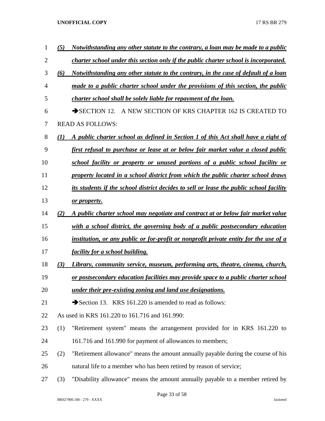| 1              | (5) | Notwithstanding any other statute to the contrary, a loan may be made to a public       |
|----------------|-----|-----------------------------------------------------------------------------------------|
| $\overline{2}$ |     | charter school under this section only if the public charter school is incorporated.    |
| 3              | (6) | Notwithstanding any other statute to the contrary, in the case of default of a loan     |
| 4              |     | made to a public charter school under the provisions of this section, the public        |
| 5              |     | charter school shall be solely liable for repayment of the loan.                        |
| 6              |     | SECTION 12. A NEW SECTION OF KRS CHAPTER 162 IS CREATED TO                              |
| 7              |     | <b>READ AS FOLLOWS:</b>                                                                 |
| 8              | (1) | A public charter school as defined in Section 1 of this Act shall have a right of       |
| 9              |     | <u>first refusal to purchase or lease at or below fair market value a closed public</u> |
| 10             |     | school facility or property or unused portions of a public school facility or           |
| 11             |     | property located in a school district from which the public charter school draws        |
| 12             |     | its students if the school district decides to sell or lease the public school facility |
| 13             |     | or property.                                                                            |
| 14             | (2) | <u>A public charter school may negotiate and contract at or below fair market value</u> |
| 15             |     | with a school district, the governing body of a public postsecondary education          |
| 16             |     | institution, or any public or for-profit or nonprofit private entity for the use of a   |
| 17             |     | <u>facility for a school building.</u>                                                  |
| 18             | (3) | Library, community service, museum, performing arts, theatre, cinema, church,           |
| 19             |     | or postsecondary education facilities may provide space to a public charter school      |
| 20             |     | under their pre-existing zoning and land use designations.                              |
| 21             |     | Section 13. KRS 161.220 is amended to read as follows:                                  |
| 22             |     | As used in KRS 161.220 to 161.716 and 161.990:                                          |
| 23             | (1) | "Retirement system" means the arrangement provided for in KRS 161.220 to                |
| 24             |     | 161.716 and 161.990 for payment of allowances to members;                               |
| 25             | (2) | "Retirement allowance" means the amount annually payable during the course of his       |
| 26             |     | natural life to a member who has been retired by reason of service;                     |
| 27             | (3) | "Disability allowance" means the amount annually payable to a member retired by         |

Page 33 of 58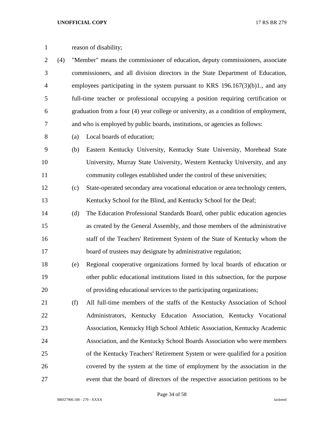| $\mathbf{1}$   |     |     | reason of disability;                                                                |
|----------------|-----|-----|--------------------------------------------------------------------------------------|
| $\overline{2}$ | (4) |     | "Member" means the commissioner of education, deputy commissioners, associate        |
| 3              |     |     | commissioners, and all division directors in the State Department of Education,      |
| $\overline{4}$ |     |     | employees participating in the system pursuant to KRS $196.167(3)(b)1$ ., and any    |
| 5              |     |     | full-time teacher or professional occupying a position requiring certification or    |
| 6              |     |     | graduation from a four (4) year college or university, as a condition of employment, |
| 7              |     |     | and who is employed by public boards, institutions, or agencies as follows:          |
| 8              |     | (a) | Local boards of education;                                                           |
| 9              |     | (b) | Eastern Kentucky University, Kentucky State University, Morehead State               |
| 10             |     |     | University, Murray State University, Western Kentucky University, and any            |
| 11             |     |     | community colleges established under the control of these universities;              |
| 12             |     | (c) | State-operated secondary area vocational education or area technology centers,       |
| 13             |     |     | Kentucky School for the Blind, and Kentucky School for the Deaf;                     |
| 14             |     | (d) | The Education Professional Standards Board, other public education agencies          |
| 15             |     |     | as created by the General Assembly, and those members of the administrative          |
| 16             |     |     | staff of the Teachers' Retirement System of the State of Kentucky whom the           |
| 17             |     |     | board of trustees may designate by administrative regulation;                        |
| 18             |     | (e) | Regional cooperative organizations formed by local boards of education or            |
| 19             |     |     | other public educational institutions listed in this subsection, for the purpose     |
| 20             |     |     | of providing educational services to the participating organizations;                |
| 21             |     | (f) | All full-time members of the staffs of the Kentucky Association of School            |
| 22             |     |     | Administrators, Kentucky Education Association, Kentucky Vocational                  |
| 23             |     |     | Association, Kentucky High School Athletic Association, Kentucky Academic            |
| 24             |     |     | Association, and the Kentucky School Boards Association who were members             |
| 25             |     |     | of the Kentucky Teachers' Retirement System or were qualified for a position         |
| 26             |     |     | covered by the system at the time of employment by the association in the            |
| 27             |     |     | event that the board of directors of the respective association petitions to be      |

Page 34 of 58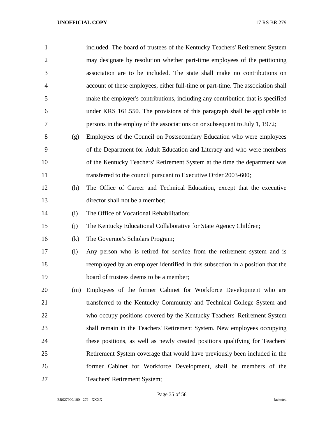| $\mathbf{1}$   |     | included. The board of trustees of the Kentucky Teachers' Retirement System      |
|----------------|-----|----------------------------------------------------------------------------------|
| $\overline{2}$ |     | may designate by resolution whether part-time employees of the petitioning       |
| 3              |     | association are to be included. The state shall make no contributions on         |
| 4              |     | account of these employees, either full-time or part-time. The association shall |
| 5              |     | make the employer's contributions, including any contribution that is specified  |
| 6              |     | under KRS 161.550. The provisions of this paragraph shall be applicable to       |
| 7              |     | persons in the employ of the associations on or subsequent to July 1, 1972;      |
| 8              | (g) | Employees of the Council on Postsecondary Education who were employees           |
| 9              |     | of the Department for Adult Education and Literacy and who were members          |
| 10             |     | of the Kentucky Teachers' Retirement System at the time the department was       |
| 11             |     | transferred to the council pursuant to Executive Order 2003-600;                 |
| 12             | (h) | The Office of Career and Technical Education, except that the executive          |
| 13             |     | director shall not be a member;                                                  |
| 14             | (i) | The Office of Vocational Rehabilitation;                                         |
| 15             | (i) | The Kentucky Educational Collaborative for State Agency Children;                |
| 16             | (k) | The Governor's Scholars Program;                                                 |
| 17             | (1) | Any person who is retired for service from the retirement system and is          |
| 18             |     | reemployed by an employer identified in this subsection in a position that the   |
| 19             |     | board of trustees deems to be a member;                                          |
| 20             | (m) | Employees of the former Cabinet for Workforce Development who are                |
| 21             |     | transferred to the Kentucky Community and Technical College System and           |
| 22             |     | who occupy positions covered by the Kentucky Teachers' Retirement System         |
| 23             |     | shall remain in the Teachers' Retirement System. New employees occupying         |
| 24             |     | these positions, as well as newly created positions qualifying for Teachers'     |
| 25             |     | Retirement System coverage that would have previously been included in the       |
| 26             |     | former Cabinet for Workforce Development, shall be members of the                |
| 27             |     | Teachers' Retirement System;                                                     |

Page 35 of 58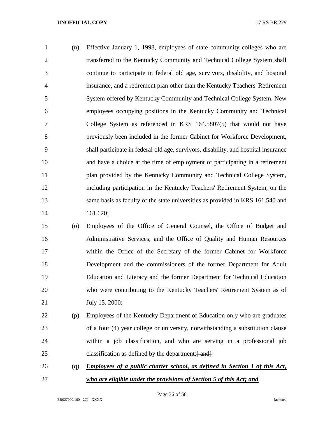(n) Effective January 1, 1998, employees of state community colleges who are transferred to the Kentucky Community and Technical College System shall continue to participate in federal old age, survivors, disability, and hospital insurance, and a retirement plan other than the Kentucky Teachers' Retirement System offered by Kentucky Community and Technical College System. New employees occupying positions in the Kentucky Community and Technical College System as referenced in KRS 164.5807(5) that would not have previously been included in the former Cabinet for Workforce Development, shall participate in federal old age, survivors, disability, and hospital insurance and have a choice at the time of employment of participating in a retirement 11 plan provided by the Kentucky Community and Technical College System, including participation in the Kentucky Teachers' Retirement System, on the same basis as faculty of the state universities as provided in KRS 161.540 and 161.620;

- (o) Employees of the Office of General Counsel, the Office of Budget and Administrative Services, and the Office of Quality and Human Resources within the Office of the Secretary of the former Cabinet for Workforce Development and the commissioners of the former Department for Adult Education and Literacy and the former Department for Technical Education who were contributing to the Kentucky Teachers' Retirement System as of July 15, 2000;
- (p) Employees of the Kentucky Department of Education only who are graduates of a four (4) year college or university, notwithstanding a substitution clause within a job classification, and who are serving in a professional job 25 classification as defined by the department; $\frac{25}{1}$
- (q) *Employees of a public charter school, as defined in Section 1 of this Act, who are eligible under the provisions of Section 5 of this Act; and*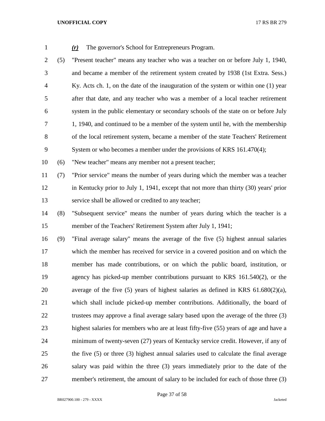| $\mathbf{1}$   |     | The governor's School for Entrepreneurs Program.<br>(r)                                |
|----------------|-----|----------------------------------------------------------------------------------------|
| 2              | (5) | "Present teacher" means any teacher who was a teacher on or before July 1, 1940,       |
| 3              |     | and became a member of the retirement system created by 1938 (1st Extra. Sess.)        |
| $\overline{4}$ |     | Ky. Acts ch. 1, on the date of the inauguration of the system or within one (1) year   |
| 5              |     | after that date, and any teacher who was a member of a local teacher retirement        |
| 6              |     | system in the public elementary or secondary schools of the state on or before July    |
| 7              |     | 1, 1940, and continued to be a member of the system until he, with the membership      |
| 8              |     | of the local retirement system, became a member of the state Teachers' Retirement      |
| 9              |     | System or who becomes a member under the provisions of KRS 161.470(4);                 |
| 10             | (6) | "New teacher" means any member not a present teacher;                                  |
| 11             | (7) | "Prior service" means the number of years during which the member was a teacher        |
| 12             |     | in Kentucky prior to July 1, 1941, except that not more than thirty (30) years' prior  |
| 13             |     | service shall be allowed or credited to any teacher;                                   |
| 14             | (8) | "Subsequent service" means the number of years during which the teacher is a           |
| 15             |     | member of the Teachers' Retirement System after July 1, 1941;                          |
| 16             | (9) | "Final average salary" means the average of the five (5) highest annual salaries       |
| 17             |     | which the member has received for service in a covered position and on which the       |
| 18             |     | member has made contributions, or on which the public board, institution, or           |
| 19             |     | agency has picked-up member contributions pursuant to KRS 161.540(2), or the           |
| 20             |     | average of the five $(5)$ years of highest salaries as defined in KRS $61.680(2)(a)$ , |
| 21             |     | which shall include picked-up member contributions. Additionally, the board of         |
| 22             |     | trustees may approve a final average salary based upon the average of the three (3)    |
| 23             |     | highest salaries for members who are at least fifty-five (55) years of age and have a  |
| 24             |     | minimum of twenty-seven (27) years of Kentucky service credit. However, if any of      |
| 25             |     | the five (5) or three (3) highest annual salaries used to calculate the final average  |
| 26             |     | salary was paid within the three (3) years immediately prior to the date of the        |
| 27             |     | member's retirement, the amount of salary to be included for each of those three (3)   |

Page 37 of 58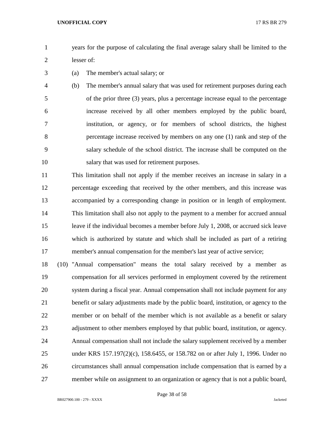- years for the purpose of calculating the final average salary shall be limited to the lesser of:
- (a) The member's actual salary; or
- (b) The member's annual salary that was used for retirement purposes during each of the prior three (3) years, plus a percentage increase equal to the percentage increase received by all other members employed by the public board, institution, or agency, or for members of school districts, the highest percentage increase received by members on any one (1) rank and step of the salary schedule of the school district. The increase shall be computed on the salary that was used for retirement purposes.

 This limitation shall not apply if the member receives an increase in salary in a percentage exceeding that received by the other members, and this increase was accompanied by a corresponding change in position or in length of employment. This limitation shall also not apply to the payment to a member for accrued annual leave if the individual becomes a member before July 1, 2008, or accrued sick leave which is authorized by statute and which shall be included as part of a retiring member's annual compensation for the member's last year of active service;

 (10) "Annual compensation" means the total salary received by a member as compensation for all services performed in employment covered by the retirement system during a fiscal year. Annual compensation shall not include payment for any benefit or salary adjustments made by the public board, institution, or agency to the member or on behalf of the member which is not available as a benefit or salary adjustment to other members employed by that public board, institution, or agency. Annual compensation shall not include the salary supplement received by a member under KRS 157.197(2)(c), 158.6455, or 158.782 on or after July 1, 1996. Under no circumstances shall annual compensation include compensation that is earned by a member while on assignment to an organization or agency that is not a public board,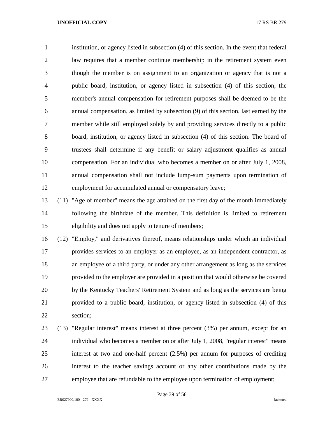institution, or agency listed in subsection (4) of this section. In the event that federal law requires that a member continue membership in the retirement system even though the member is on assignment to an organization or agency that is not a public board, institution, or agency listed in subsection (4) of this section, the member's annual compensation for retirement purposes shall be deemed to be the annual compensation, as limited by subsection (9) of this section, last earned by the member while still employed solely by and providing services directly to a public board, institution, or agency listed in subsection (4) of this section. The board of trustees shall determine if any benefit or salary adjustment qualifies as annual compensation. For an individual who becomes a member on or after July 1, 2008, annual compensation shall not include lump-sum payments upon termination of employment for accumulated annual or compensatory leave;

 (11) "Age of member" means the age attained on the first day of the month immediately following the birthdate of the member. This definition is limited to retirement eligibility and does not apply to tenure of members;

 (12) "Employ," and derivatives thereof, means relationships under which an individual provides services to an employer as an employee, as an independent contractor, as an employee of a third party, or under any other arrangement as long as the services provided to the employer are provided in a position that would otherwise be covered by the Kentucky Teachers' Retirement System and as long as the services are being provided to a public board, institution, or agency listed in subsection (4) of this section;

 (13) "Regular interest" means interest at three percent (3%) per annum, except for an individual who becomes a member on or after July 1, 2008, "regular interest" means interest at two and one-half percent (2.5%) per annum for purposes of crediting interest to the teacher savings account or any other contributions made by the employee that are refundable to the employee upon termination of employment;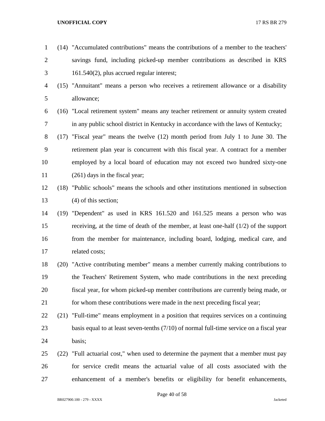(14) "Accumulated contributions" means the contributions of a member to the teachers' savings fund, including picked-up member contributions as described in KRS 161.540(2), plus accrued regular interest; (15) "Annuitant" means a person who receives a retirement allowance or a disability allowance; (16) "Local retirement system" means any teacher retirement or annuity system created in any public school district in Kentucky in accordance with the laws of Kentucky; (17) "Fiscal year" means the twelve (12) month period from July 1 to June 30. The retirement plan year is concurrent with this fiscal year. A contract for a member employed by a local board of education may not exceed two hundred sixty-one (261) days in the fiscal year; (18) "Public schools" means the schools and other institutions mentioned in subsection (4) of this section; (19) "Dependent" as used in KRS 161.520 and 161.525 means a person who was receiving, at the time of death of the member, at least one-half (1/2) of the support from the member for maintenance, including board, lodging, medical care, and related costs; (20) "Active contributing member" means a member currently making contributions to the Teachers' Retirement System, who made contributions in the next preceding fiscal year, for whom picked-up member contributions are currently being made, or for whom these contributions were made in the next preceding fiscal year; (21) "Full-time" means employment in a position that requires services on a continuing 23 basis equal to at least seven-tenths (7/10) of normal full-time service on a fiscal year basis; (22) "Full actuarial cost," when used to determine the payment that a member must pay for service credit means the actuarial value of all costs associated with the enhancement of a member's benefits or eligibility for benefit enhancements,

Page 40 of 58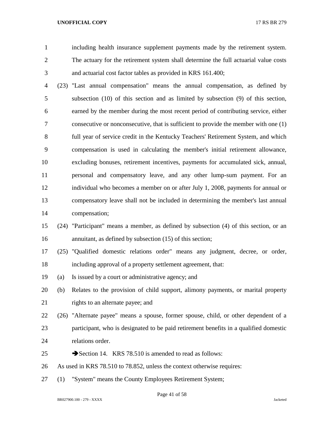including health insurance supplement payments made by the retirement system. The actuary for the retirement system shall determine the full actuarial value costs and actuarial cost factor tables as provided in KRS 161.400;

 (23) "Last annual compensation" means the annual compensation, as defined by subsection (10) of this section and as limited by subsection (9) of this section, earned by the member during the most recent period of contributing service, either consecutive or nonconsecutive, that is sufficient to provide the member with one (1) full year of service credit in the Kentucky Teachers' Retirement System, and which compensation is used in calculating the member's initial retirement allowance, excluding bonuses, retirement incentives, payments for accumulated sick, annual, personal and compensatory leave, and any other lump-sum payment. For an individual who becomes a member on or after July 1, 2008, payments for annual or compensatory leave shall not be included in determining the member's last annual compensation;

# (24) "Participant" means a member, as defined by subsection (4) of this section, or an 16 annuitant, as defined by subsection (15) of this section;

 (25) "Qualified domestic relations order" means any judgment, decree, or order, including approval of a property settlement agreement, that:

(a) Is issued by a court or administrative agency; and

 (b) Relates to the provision of child support, alimony payments, or marital property 21 rights to an alternate payee; and

- (26) "Alternate payee" means a spouse, former spouse, child, or other dependent of a participant, who is designated to be paid retirement benefits in a qualified domestic relations order.
- 25 Section 14. KRS 78.510 is amended to read as follows:
- As used in KRS 78.510 to 78.852, unless the context otherwise requires:
- (1) "System" means the County Employees Retirement System;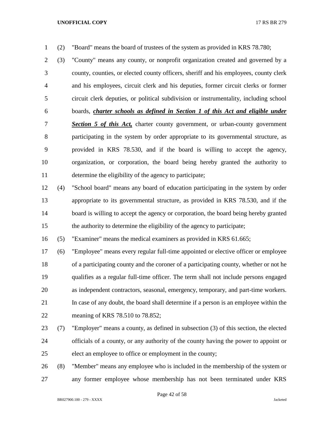(2) "Board" means the board of trustees of the system as provided in KRS 78.780;

 (3) "County" means any county, or nonprofit organization created and governed by a county, counties, or elected county officers, sheriff and his employees, county clerk and his employees, circuit clerk and his deputies, former circuit clerks or former circuit clerk deputies, or political subdivision or instrumentality, including school boards, *charter schools as defined in Section 1 of this Act and eligible under Section 5 of this Act,* charter county government, or urban-county government participating in the system by order appropriate to its governmental structure, as provided in KRS 78.530, and if the board is willing to accept the agency, organization, or corporation, the board being hereby granted the authority to determine the eligibility of the agency to participate;

 (4) "School board" means any board of education participating in the system by order appropriate to its governmental structure, as provided in KRS 78.530, and if the 14 board is willing to accept the agency or corporation, the board being hereby granted the authority to determine the eligibility of the agency to participate;

(5) "Examiner" means the medical examiners as provided in KRS 61.665;

 (6) "Employee" means every regular full-time appointed or elective officer or employee of a participating county and the coroner of a participating county, whether or not he qualifies as a regular full-time officer. The term shall not include persons engaged as independent contractors, seasonal, emergency, temporary, and part-time workers. In case of any doubt, the board shall determine if a person is an employee within the meaning of KRS 78.510 to 78.852;

 (7) "Employer" means a county, as defined in subsection (3) of this section, the elected officials of a county, or any authority of the county having the power to appoint or elect an employee to office or employment in the county;

 (8) "Member" means any employee who is included in the membership of the system or any former employee whose membership has not been terminated under KRS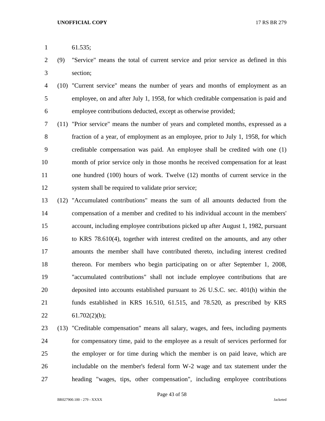- 61.535;
- (9) "Service" means the total of current service and prior service as defined in this section;
- (10) "Current service" means the number of years and months of employment as an employee, on and after July 1, 1958, for which creditable compensation is paid and employee contributions deducted, except as otherwise provided;
- (11) "Prior service" means the number of years and completed months, expressed as a fraction of a year, of employment as an employee, prior to July 1, 1958, for which creditable compensation was paid. An employee shall be credited with one (1) month of prior service only in those months he received compensation for at least one hundred (100) hours of work. Twelve (12) months of current service in the system shall be required to validate prior service;
- (12) "Accumulated contributions" means the sum of all amounts deducted from the compensation of a member and credited to his individual account in the members' account, including employee contributions picked up after August 1, 1982, pursuant to KRS 78.610(4), together with interest credited on the amounts, and any other amounts the member shall have contributed thereto, including interest credited thereon. For members who begin participating on or after September 1, 2008, "accumulated contributions" shall not include employee contributions that are deposited into accounts established pursuant to 26 U.S.C. sec. 401(h) within the funds established in KRS 16.510, 61.515, and 78.520, as prescribed by KRS 22  $61.702(2)(b)$ ;
- (13) "Creditable compensation" means all salary, wages, and fees, including payments for compensatory time, paid to the employee as a result of services performed for the employer or for time during which the member is on paid leave, which are includable on the member's federal form W-2 wage and tax statement under the heading "wages, tips, other compensation", including employee contributions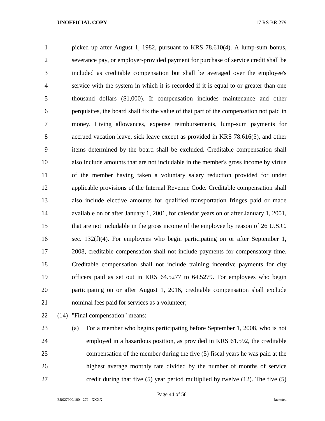picked up after August 1, 1982, pursuant to KRS 78.610(4). A lump-sum bonus, severance pay, or employer-provided payment for purchase of service credit shall be included as creditable compensation but shall be averaged over the employee's service with the system in which it is recorded if it is equal to or greater than one thousand dollars (\$1,000). If compensation includes maintenance and other perquisites, the board shall fix the value of that part of the compensation not paid in money. Living allowances, expense reimbursements, lump-sum payments for accrued vacation leave, sick leave except as provided in KRS 78.616(5), and other items determined by the board shall be excluded. Creditable compensation shall also include amounts that are not includable in the member's gross income by virtue of the member having taken a voluntary salary reduction provided for under applicable provisions of the Internal Revenue Code. Creditable compensation shall also include elective amounts for qualified transportation fringes paid or made available on or after January 1, 2001, for calendar years on or after January 1, 2001, that are not includable in the gross income of the employee by reason of 26 U.S.C. sec. 132(f)(4). For employees who begin participating on or after September 1, 2008, creditable compensation shall not include payments for compensatory time. Creditable compensation shall not include training incentive payments for city officers paid as set out in KRS 64.5277 to 64.5279. For employees who begin participating on or after August 1, 2016, creditable compensation shall exclude nominal fees paid for services as a volunteer;

(14) "Final compensation" means:

 (a) For a member who begins participating before September 1, 2008, who is not employed in a hazardous position, as provided in KRS 61.592, the creditable compensation of the member during the five (5) fiscal years he was paid at the highest average monthly rate divided by the number of months of service credit during that five (5) year period multiplied by twelve (12). The five (5)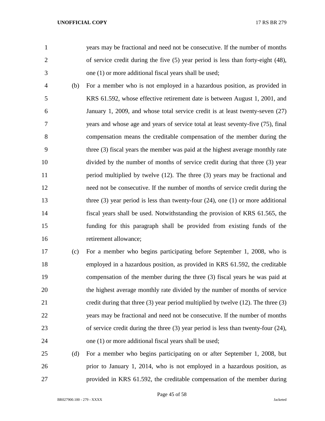years may be fractional and need not be consecutive. If the number of months of service credit during the five (5) year period is less than forty-eight (48), one (1) or more additional fiscal years shall be used;

 (b) For a member who is not employed in a hazardous position, as provided in KRS 61.592, whose effective retirement date is between August 1, 2001, and January 1, 2009, and whose total service credit is at least twenty-seven (27) years and whose age and years of service total at least seventy-five (75), final compensation means the creditable compensation of the member during the three (3) fiscal years the member was paid at the highest average monthly rate divided by the number of months of service credit during that three (3) year period multiplied by twelve (12). The three (3) years may be fractional and need not be consecutive. If the number of months of service credit during the 13 three (3) year period is less than twenty-four (24), one (1) or more additional fiscal years shall be used. Notwithstanding the provision of KRS 61.565, the funding for this paragraph shall be provided from existing funds of the retirement allowance;

 (c) For a member who begins participating before September 1, 2008, who is employed in a hazardous position, as provided in KRS 61.592, the creditable compensation of the member during the three (3) fiscal years he was paid at the highest average monthly rate divided by the number of months of service credit during that three (3) year period multiplied by twelve (12). The three (3) years may be fractional and need not be consecutive. If the number of months of service credit during the three (3) year period is less than twenty-four (24), one (1) or more additional fiscal years shall be used;

 (d) For a member who begins participating on or after September 1, 2008, but prior to January 1, 2014, who is not employed in a hazardous position, as provided in KRS 61.592, the creditable compensation of the member during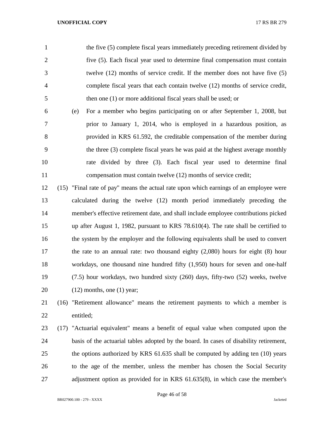the five (5) complete fiscal years immediately preceding retirement divided by five (5). Each fiscal year used to determine final compensation must contain twelve (12) months of service credit. If the member does not have five (5) complete fiscal years that each contain twelve (12) months of service credit, then one (1) or more additional fiscal years shall be used; or

- (e) For a member who begins participating on or after September 1, 2008, but prior to January 1, 2014, who is employed in a hazardous position, as provided in KRS 61.592, the creditable compensation of the member during the three (3) complete fiscal years he was paid at the highest average monthly rate divided by three (3). Each fiscal year used to determine final compensation must contain twelve (12) months of service credit;
- (15) "Final rate of pay" means the actual rate upon which earnings of an employee were calculated during the twelve (12) month period immediately preceding the member's effective retirement date, and shall include employee contributions picked up after August 1, 1982, pursuant to KRS 78.610(4). The rate shall be certified to the system by the employer and the following equivalents shall be used to convert the rate to an annual rate: two thousand eighty (2,080) hours for eight (8) hour workdays, one thousand nine hundred fifty (1,950) hours for seven and one-half (7.5) hour workdays, two hundred sixty (260) days, fifty-two (52) weeks, twelve 20  $(12)$  months, one  $(1)$  year;

# (16) "Retirement allowance" means the retirement payments to which a member is entitled;

 (17) "Actuarial equivalent" means a benefit of equal value when computed upon the basis of the actuarial tables adopted by the board. In cases of disability retirement, the options authorized by KRS 61.635 shall be computed by adding ten (10) years to the age of the member, unless the member has chosen the Social Security adjustment option as provided for in KRS 61.635(8), in which case the member's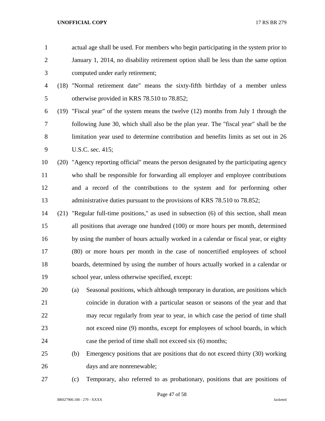| $\mathbf{1}$   |      |     | actual age shall be used. For members who begin participating in the system prior to      |
|----------------|------|-----|-------------------------------------------------------------------------------------------|
| $\overline{2}$ |      |     | January 1, 2014, no disability retirement option shall be less than the same option       |
| 3              |      |     | computed under early retirement;                                                          |
| 4              | (18) |     | "Normal retirement date" means the sixty-fifth birthday of a member unless                |
| 5              |      |     | otherwise provided in KRS 78.510 to 78.852;                                               |
| 6              |      |     | $(19)$ "Fiscal year" of the system means the twelve $(12)$ months from July 1 through the |
| 7              |      |     | following June 30, which shall also be the plan year. The "fiscal year" shall be the      |
| 8              |      |     | limitation year used to determine contribution and benefits limits as set out in 26       |
| 9              |      |     | U.S.C. sec. 415;                                                                          |
| 10             |      |     | (20) "Agency reporting official" means the person designated by the participating agency  |
| 11             |      |     | who shall be responsible for forwarding all employer and employee contributions           |
| 12             |      |     | and a record of the contributions to the system and for performing other                  |
| 13             |      |     | administrative duties pursuant to the provisions of KRS 78.510 to 78.852;                 |
| 14             | (21) |     | "Regular full-time positions," as used in subsection (6) of this section, shall mean      |
| 15             |      |     | all positions that average one hundred (100) or more hours per month, determined          |
| 16             |      |     | by using the number of hours actually worked in a calendar or fiscal year, or eighty      |
| 17             |      |     | (80) or more hours per month in the case of noncertified employees of school              |
| 18             |      |     | boards, determined by using the number of hours actually worked in a calendar or          |
| 19             |      |     | school year, unless otherwise specified, except:                                          |
| 20             |      | (a) | Seasonal positions, which although temporary in duration, are positions which             |
| 21             |      |     | coincide in duration with a particular season or seasons of the year and that             |
| 22             |      |     | may recur regularly from year to year, in which case the period of time shall             |
| 23             |      |     | not exceed nine (9) months, except for employees of school boards, in which               |
| 24             |      |     | case the period of time shall not exceed six (6) months;                                  |
| 25             |      | (b) | Emergency positions that are positions that do not exceed thirty (30) working             |
| 26             |      |     | days and are nonrenewable;                                                                |
|                |      |     |                                                                                           |

(c) Temporary, also referred to as probationary, positions that are positions of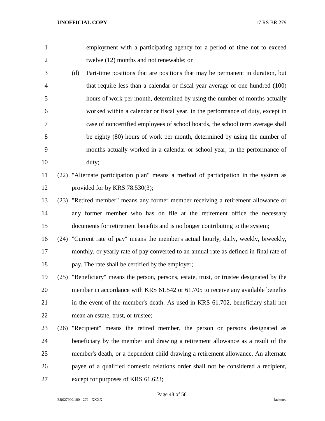- employment with a participating agency for a period of time not to exceed twelve (12) months and not renewable; or (d) Part-time positions that are positions that may be permanent in duration, but that require less than a calendar or fiscal year average of one hundred (100) hours of work per month, determined by using the number of months actually worked within a calendar or fiscal year, in the performance of duty, except in case of noncertified employees of school boards, the school term average shall be eighty (80) hours of work per month, determined by using the number of
- months actually worked in a calendar or school year, in the performance of duty;

# (22) "Alternate participation plan" means a method of participation in the system as provided for by KRS 78.530(3);

- (23) "Retired member" means any former member receiving a retirement allowance or any former member who has on file at the retirement office the necessary documents for retirement benefits and is no longer contributing to the system;
- (24) "Current rate of pay" means the member's actual hourly, daily, weekly, biweekly, monthly, or yearly rate of pay converted to an annual rate as defined in final rate of pay. The rate shall be certified by the employer;
- (25) "Beneficiary" means the person, persons, estate, trust, or trustee designated by the member in accordance with KRS 61.542 or 61.705 to receive any available benefits in the event of the member's death. As used in KRS 61.702, beneficiary shall not mean an estate, trust, or trustee;
- (26) "Recipient" means the retired member, the person or persons designated as beneficiary by the member and drawing a retirement allowance as a result of the member's death, or a dependent child drawing a retirement allowance. An alternate payee of a qualified domestic relations order shall not be considered a recipient, except for purposes of KRS 61.623;

Page 48 of 58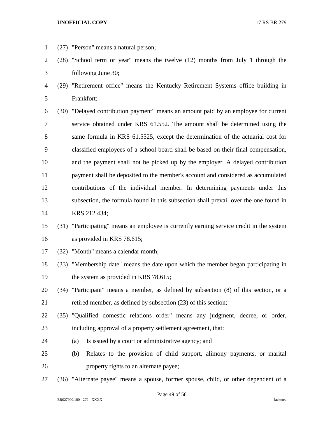- 
- (27) "Person" means a natural person;
- (28) "School term or year" means the twelve (12) months from July 1 through the following June 30;
- (29) "Retirement office" means the Kentucky Retirement Systems office building in Frankfort;
- (30) "Delayed contribution payment" means an amount paid by an employee for current service obtained under KRS 61.552. The amount shall be determined using the same formula in KRS 61.5525, except the determination of the actuarial cost for classified employees of a school board shall be based on their final compensation, and the payment shall not be picked up by the employer. A delayed contribution payment shall be deposited to the member's account and considered as accumulated contributions of the individual member. In determining payments under this subsection, the formula found in this subsection shall prevail over the one found in KRS 212.434;
- (31) "Participating" means an employee is currently earning service credit in the system as provided in KRS 78.615;
- (32) "Month" means a calendar month;
- (33) "Membership date" means the date upon which the member began participating in 19 the system as provided in KRS 78.615;
- (34) "Participant" means a member, as defined by subsection (8) of this section, or a retired member, as defined by subsection (23) of this section;
- (35) "Qualified domestic relations order" means any judgment, decree, or order, including approval of a property settlement agreement, that:
- (a) Is issued by a court or administrative agency; and
- (b) Relates to the provision of child support, alimony payments, or marital property rights to an alternate payee;
- (36) "Alternate payee" means a spouse, former spouse, child, or other dependent of a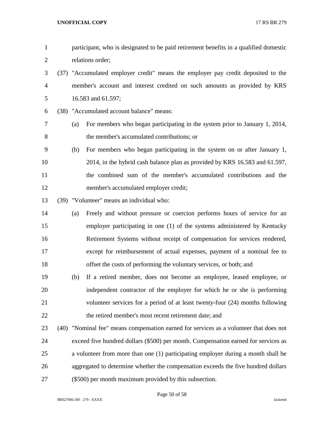| $\mathbf{1}$   |     | participant, who is designated to be paid retirement benefits in a qualified domestic  |
|----------------|-----|----------------------------------------------------------------------------------------|
| $\overline{2}$ |     | relations order;                                                                       |
| 3              |     | (37) "Accumulated employer credit" means the employer pay credit deposited to the      |
| $\overline{4}$ |     | member's account and interest credited on such amounts as provided by KRS              |
| 5              |     | 16.583 and 61.597;                                                                     |
| 6              |     | (38) "Accumulated account balance" means:                                              |
| 7              | (a) | For members who began participating in the system prior to January 1, 2014,            |
| $8\,$          |     | the member's accumulated contributions; or                                             |
| 9              | (b) | For members who began participating in the system on or after January 1,               |
| 10             |     | 2014, in the hybrid cash balance plan as provided by KRS 16.583 and 61.597,            |
| 11             |     | the combined sum of the member's accumulated contributions and the                     |
| 12             |     | member's accumulated employer credit;                                                  |
| 13             |     | (39) "Volunteer" means an individual who:                                              |
| 14             | (a) | Freely and without pressure or coercion performs hours of service for an               |
| 15             |     | employer participating in one (1) of the systems administered by Kentucky              |
| 16             |     | Retirement Systems without receipt of compensation for services rendered,              |
| 17             |     | except for reimbursement of actual expenses, payment of a nominal fee to               |
| 18             |     | offset the costs of performing the voluntary services, or both; and                    |
| 19             | (b) | If a retired member, does not become an employee, leased employee, or                  |
| 20             |     | independent contractor of the employer for which he or she is performing               |
| 21             |     | volunteer services for a period of at least twenty-four (24) months following          |
| 22             |     | the retired member's most recent retirement date; and                                  |
| 23             |     | (40) "Nominal fee" means compensation earned for services as a volunteer that does not |
| 24             |     | exceed five hundred dollars (\$500) per month. Compensation earned for services as     |
| 25             |     | a volunteer from more than one (1) participating employer during a month shall be      |
| 26             |     | aggregated to determine whether the compensation exceeds the five hundred dollars      |
| 27             |     | (\$500) per month maximum provided by this subsection.                                 |

Page 50 of 58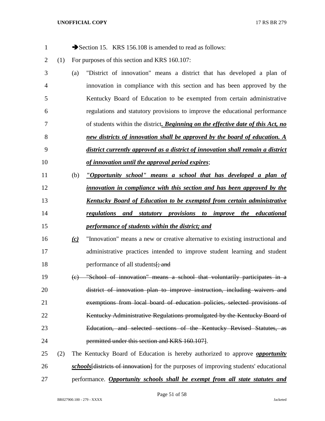| $\mathbf{1}$   |     |          | Section 15. KRS 156.108 is amended to read as follows:                               |
|----------------|-----|----------|--------------------------------------------------------------------------------------|
| $\overline{2}$ | (1) |          | For purposes of this section and KRS 160.107:                                        |
| 3              |     | (a)      | "District of innovation" means a district that has developed a plan of               |
| 4              |     |          | innovation in compliance with this section and has been approved by the              |
| 5              |     |          | Kentucky Board of Education to be exempted from certain administrative               |
| 6              |     |          | regulations and statutory provisions to improve the educational performance          |
| 7              |     |          | of students within the district. Beginning on the effective date of this Act, no     |
| 8              |     |          | new districts of innovation shall be approved by the board of education. A           |
| 9              |     |          | district currently approved as a district of innovation shall remain a district      |
| 10             |     |          | of innovation until the approval period expires;                                     |
| 11             |     | (b)      | "Opportunity school" means a school that has developed a plan of                     |
| 12             |     |          | innovation in compliance with this section and has been approved by the              |
| 13             |     |          | <b>Kentucky Board of Education to be exempted from certain administrative</b>        |
| 14             |     |          | regulations and statutory provisions to improve the educational                      |
| 15             |     |          | performance of students within the district; and                                     |
| 16             |     | $\omega$ | "Innovation" means a new or creative alternative to existing instructional and       |
| 17             |     |          | administrative practices intended to improve student learning and student            |
| 18             |     |          | performance of all students [; and                                                   |
| 19             |     |          | (c) "School of innovation" means a school that voluntarily participates in a         |
| 20             |     |          | district of innovation plan to improve instruction, including waivers and            |
| 21             |     |          | exemptions from local board of education policies, selected provisions of            |
| 22             |     |          | Kentucky Administrative Regulations promulgated by the Kentucky Board of             |
| 23             |     |          | Education, and selected sections of the Kentucky Revised Statutes, as                |
| 24             |     |          | permitted under this section and KRS 160.107.                                        |
| 25             | (2) |          | The Kentucky Board of Education is hereby authorized to approve <b>opportunity</b>   |
| 26             |     |          | schools districts of innovation] for the purposes of improving students' educational |
| 27             |     |          | performance. <b>Opportunity schools shall be exempt from all state statutes and</b>  |

Page 51 of 58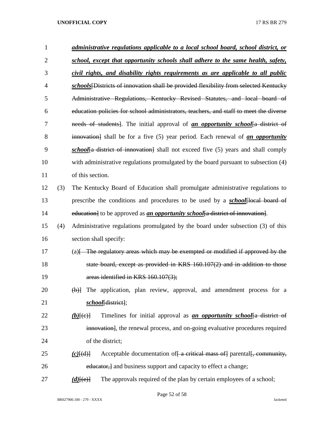| 1              |     | administrative regulations applicable to a local school board, school district, or                          |
|----------------|-----|-------------------------------------------------------------------------------------------------------------|
| $\overline{2}$ |     | school, except that opportunity schools shall adhere to the same health, safety,                            |
| 3              |     | civil rights, and disability rights requirements as are applicable to all public                            |
| 4              |     | schools Districts of innovation shall be provided flexibility from selected Kentucky                        |
| 5              |     | Administrative Regulations, Kentucky Revised Statutes, and local board of                                   |
| 6              |     | education policies for school administrators, teachers, and staff to meet the diverse                       |
| 7              |     | needs of students]. The initial approval of <u>an opportunity school</u> a district of                      |
| 8              |     | innovation] shall be for a five (5) year period. Each renewal of an opportunity                             |
| 9              |     | <i>school</i> <sup>{a}</sup> district of innovation} shall not exceed five (5) years and shall comply       |
| 10             |     | with administrative regulations promulgated by the board pursuant to subsection (4)                         |
| 11             |     | of this section.                                                                                            |
| 12             | (3) | The Kentucky Board of Education shall promulgate administrative regulations to                              |
| 13             |     | prescribe the conditions and procedures to be used by a <b>school</b> [local board of                       |
| 14             |     | education] to be approved as <i>an opportunity school</i> [a district of innovation].                       |
| 15             | (4) | Administrative regulations promulgated by the board under subsection (3) of this                            |
| 16             |     | section shall specify:                                                                                      |
| 17             |     | $(a)$ The regulatory areas which may be exempted or modified if approved by the                             |
| 18             |     | state board, except as provided in KRS 160.107(2) and in addition to those                                  |
| 19             |     | areas identified in KRS 160.107(3);                                                                         |
| 20             |     | $\left(\frac{b}{c}\right)$ The application, plan review, approval, and amendment process for a              |
| 21             |     | school[district];                                                                                           |
| 22             |     | Timelines for initial approval as <i>an opportunity school</i> <sup>[a district of</sup><br>$(b)$ [ $(e)$ ] |
| 23             |     | innovation], the renewal process, and on-going evaluative procedures required                               |
| 24             |     | of the district;                                                                                            |
| 25             |     | Acceptable documentation of a critical mass of parental f, community,<br>$(c)$ [(d)]                        |
| 26             |     | educator, and business support and capacity to effect a change;                                             |
| 27             |     | The approvals required of the plan by certain employees of a school;<br>$(d)$ [(e)]                         |

Page 52 of 58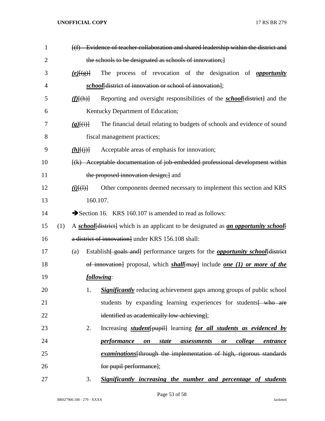| $\mathbf{1}$   |     |                        | [(f) Evidence of teacher collaboration and shared leadership within the district and                                     |
|----------------|-----|------------------------|--------------------------------------------------------------------------------------------------------------------------|
| $\overline{2}$ |     |                        | the schools to be designated as schools of innovation;                                                                   |
| 3              |     | $(e)$ $\{e\}$          | The process of revocation of the designation of <b>opportunity</b>                                                       |
| 4              |     |                        | school[district of innovation or school of innovation];                                                                  |
| 5              |     | $(f)$ $\{(\text{h})\}$ | Reporting and oversight responsibilities of the <i>school</i> [district] and the                                         |
| 6              |     |                        | Kentucky Department of Education;                                                                                        |
| 7              |     | $(g)$ $(i)$            | The financial detail relating to budgets of schools and evidence of sound                                                |
| 8              |     |                        | fiscal management practices;                                                                                             |
| 9              |     | $(h)$ $\{(\cdot)\}$    | Acceptable areas of emphasis for innovation;                                                                             |
| 10             |     |                        | [(k) Acceptable documentation of job embedded professional development within                                            |
| 11             |     |                        | the proposed innovation design; and                                                                                      |
| 12             |     | $(i)$ $(4)$            | Other components deemed necessary to implement this section and KRS                                                      |
| 13             |     |                        | 160.107.                                                                                                                 |
| 14             |     |                        | Section 16. KRS 160.107 is amended to read as follows:                                                                   |
| 15             | (1) |                        | A school[district] which is an applicant to be designated as an opportunity school[                                      |
| 16             |     |                        | a district of innovation] under KRS 156.108 shall:                                                                       |
| 17             |     | (a)                    | Establish [ goals and ] performance targets for the <b>opportunity school</b> [ district                                 |
| 18             |     |                        | of innovation] proposal, which $shall$ may include one (1) or more of the                                                |
| 19             |     |                        | following:                                                                                                               |
| 20             |     |                        | <b>Significantly</b> reducing achievement gaps among groups of public school<br>1.                                       |
| 21             |     |                        | students by expanding learning experiences for students who are                                                          |
| 22             |     |                        | identified as academically low-achieving];                                                                               |
| 23             |     |                        | 2.<br>Increasing <i>student</i> [pupil] learning <i>for all students as evidenced by</i>                                 |
| 24             |     |                        | <i>performance</i><br><i>college</i><br><i>state</i><br>$\boldsymbol{on}$<br><i>assessments</i><br><u>entrance</u><br>or |
| 25             |     |                        | <i>examinations</i> [through the implementation of high, rigorous standards                                              |
| 26             |     |                        | for pupil performance];                                                                                                  |
| 27             |     |                        | 3.<br>Significantly increasing the number and percentage of students                                                     |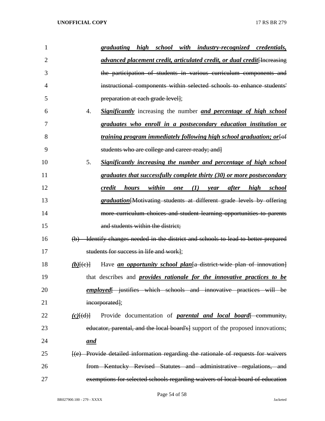| 1              |               | graduating high school with industry-recognized credentials,                       |        |     |     |                 |        |
|----------------|---------------|------------------------------------------------------------------------------------|--------|-----|-----|-----------------|--------|
| $\overline{2}$ |               | advanced placement credit, articulated credit, or dual credit[Increasing           |        |     |     |                 |        |
| 3              |               | the participation of students in various curriculum components and                 |        |     |     |                 |        |
| 4              |               | instructional components within selected schools to enhance students'              |        |     |     |                 |        |
| 5              |               | preparation at each grade level];                                                  |        |     |     |                 |        |
| 6              | 4.            | <b>Significantly</b> increasing the number and percentage of high school           |        |     |     |                 |        |
| 7              |               | graduates who enroll in a postsecondary education institution or                   |        |     |     |                 |        |
| 8              |               | training program immediately following high school graduation; or [of              |        |     |     |                 |        |
| 9              |               | students who are college and career-ready; and]                                    |        |     |     |                 |        |
| 10             | 5.            | <b>Significantly increasing the number and percentage of high school</b>           |        |     |     |                 |        |
| 11             |               | graduates that successfully complete thirty (30) or more postsecondary             |        |     |     |                 |        |
| 12             |               | credit<br><i>hours</i>                                                             | within | one | (I) | year after high | school |
| 13             |               | graduation [Motivating students at different grade levels by offering              |        |     |     |                 |        |
| 14             |               | more curriculum choices and student learning opportunities to parents              |        |     |     |                 |        |
| 15             |               | and students within the district;                                                  |        |     |     |                 |        |
| 16             |               | (b) Identify changes needed in the district and schools to lead to better-prepared |        |     |     |                 |        |
| 17             |               | students for success in life and work];                                            |        |     |     |                 |        |
| 18             | $(b)$ $(e)$   | Have <u>an opportunity school plan</u> a district-wide plan of innovation          |        |     |     |                 |        |
| 19             |               | that describes and <i>provides rationale for the innovative practices to be</i>    |        |     |     |                 |        |
| 20             |               | employed iustifies which schools and innovative practices will be                  |        |     |     |                 |        |
| 21             |               | incorporated];                                                                     |        |     |     |                 |        |
| 22             | $(c)$ $\{d\}$ | Provide documentation of <b>parental and local board</b> {- community,             |        |     |     |                 |        |
| 23             |               | educator, parental, and the local board's] support of the proposed innovations;    |        |     |     |                 |        |
| 24             | and           |                                                                                    |        |     |     |                 |        |
| 25             |               | [(e) Provide detailed information regarding the rationale of requests for waivers  |        |     |     |                 |        |
| 26             |               | from Kentucky Revised Statutes and administrative regulations, and                 |        |     |     |                 |        |
| 27             |               | exemptions for selected schools regarding waivers of local board of education      |        |     |     |                 |        |

Page 54 of 58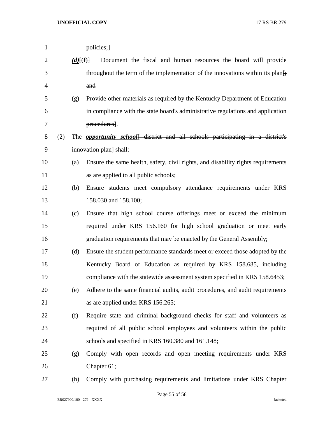| $\mathbf{1}$   |     |                    | policies;                                                                            |
|----------------|-----|--------------------|--------------------------------------------------------------------------------------|
| $\overline{2}$ |     | $(d)$ [(f)]        | Document the fiscal and human resources the board will provide                       |
| 3              |     |                    | throughout the term of the implementation of the innovations within its plan.        |
| 4              |     |                    | and                                                                                  |
| 5              |     | $\left( 8 \right)$ | Provide other materials as required by the Kentucky Department of Education          |
| 6              |     |                    | in compliance with the state board's administrative regulations and application      |
| 7              |     |                    | procedures].                                                                         |
| 8              | (2) |                    | The <i>opportunity school</i> district and all schools participating in a district's |
| 9              |     |                    | innovation plan shall:                                                               |
| 10             |     | (a)                | Ensure the same health, safety, civil rights, and disability rights requirements     |
| 11             |     |                    | as are applied to all public schools;                                                |
| 12             |     | (b)                | Ensure students meet compulsory attendance requirements under KRS                    |
| 13             |     |                    | 158.030 and 158.100;                                                                 |
| 14             |     | (c)                | Ensure that high school course offerings meet or exceed the minimum                  |
| 15             |     |                    | required under KRS 156.160 for high school graduation or meet early                  |
| 16             |     |                    | graduation requirements that may be enacted by the General Assembly;                 |
| 17             |     | (d)                | Ensure the student performance standards meet or exceed those adopted by the         |
| 18             |     |                    | Kentucky Board of Education as required by KRS 158.685, including                    |
| 19             |     |                    | compliance with the statewide assessment system specified in KRS 158.6453;           |
| 20             |     | (e)                | Adhere to the same financial audits, audit procedures, and audit requirements        |
| 21             |     |                    | as are applied under KRS 156.265;                                                    |
| 22             |     | (f)                | Require state and criminal background checks for staff and volunteers as             |
| 23             |     |                    | required of all public school employees and volunteers within the public             |
| 24             |     |                    | schools and specified in KRS 160.380 and 161.148;                                    |
| 25             |     | (g)                | Comply with open records and open meeting requirements under KRS                     |
| 26             |     |                    | Chapter 61;                                                                          |
| 27             |     | (h)                | Comply with purchasing requirements and limitations under KRS Chapter                |

BR027900.100 - 279 - XXXX Jacketed

Page 55 of 58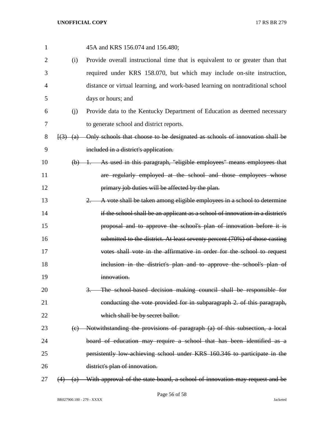| $\mathbf{1}$   |     | 45A and KRS 156.074 and 156.480;                                                                                    |
|----------------|-----|---------------------------------------------------------------------------------------------------------------------|
| $\overline{2}$ | (i) | Provide overall instructional time that is equivalent to or greater than that                                       |
| 3              |     | required under KRS 158.070, but which may include on-site instruction,                                              |
| 4              |     | distance or virtual learning, and work-based learning on nontraditional school                                      |
| 5              |     | days or hours; and                                                                                                  |
| 6              | (j) | Provide data to the Kentucky Department of Education as deemed necessary                                            |
| 7              |     | to generate school and district reports.                                                                            |
| 8              |     | $\left(\frac{3}{2}, \frac{a}{2}\right)$ Only schools that choose to be designated as schools of innovation shall be |
| 9              |     | included in a district's application.                                                                               |
| 10             |     | $(b)$ 1. As used in this paragraph, "eligible employees" means employees that                                       |
| 11             |     | are regularly employed at the school and those employees whose                                                      |
| 12             |     | primary job duties will be affected by the plan.                                                                    |
| 13             |     | 2. A vote shall be taken among eligible employees in a school to determine                                          |
| 14             |     | if the school shall be an applicant as a school of innovation in a district's                                       |
| 15             |     | proposal and to approve the school's plan of innovation before it is                                                |
| 16             |     | submitted to the district. At least seventy percent (70%) of those casting                                          |
| 17             |     | votes shall vote in the affirmative in order for the school to request                                              |
| 18             |     | inclusion in the district's plan and to approve the school's plan of                                                |
| 19             |     | innovation.                                                                                                         |
| 20             |     | The school-based decision making council shall be responsible for                                                   |
| 21             |     | conducting the vote provided for in subparagraph 2. of this paragraph,                                              |
| 22             |     | which shall be by secret ballot.                                                                                    |
| 23             |     | (c) Notwithstanding the provisions of paragraph (a) of this subsection, a local                                     |
| 24             |     | board of education may require a school that has been identified as a                                               |
| 25             |     | persistently low-achieving school under KRS 160.346 to participate in the                                           |
| 26             |     | district's plan of innovation.                                                                                      |
| 27             | (a) | With approval of the state board, a school of innovation may request and be                                         |

BR027900.100 - 279 - XXXX Jacketed

Page 56 of 58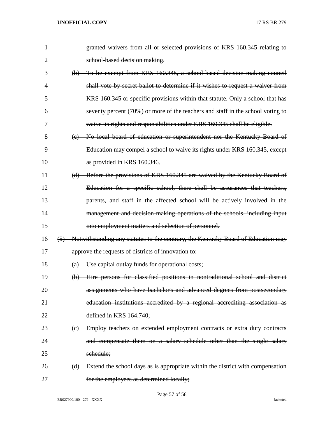| 1              | granted waivers from all or selected provisions of KRS 160.345 relating to            |
|----------------|---------------------------------------------------------------------------------------|
| $\overline{2}$ | school-based decision making.                                                         |
| 3              | (b) To be exempt from KRS 160.345, a school based decision making council             |
| 4              | shall vote by secret ballot to determine if it wishes to request a waiver from        |
| 5              | KRS 160.345 or specific provisions within that statute. Only a school that has        |
| 6              | seventy percent (70%) or more of the teachers and staff in the school voting to       |
| 7              | waive its rights and responsibilities under KRS 160.345 shall be eligible.            |
| 8              | (c) No local board of education or superintendent nor the Kentucky Board of           |
| 9              | Education may compel a school to waive its rights under KRS 160.345, except           |
| 10             | as provided in KRS 160.346.                                                           |
| 11             | (d) Before the provisions of KRS 160.345 are waived by the Kentucky Board of          |
| 12             | Education for a specific school, there shall be assurances that teachers,             |
| 13             | parents, and staff in the affected school will be actively involved in the            |
| 14             | management and decision-making operations of the schools, including input             |
| 15             | into employment matters and selection of personnel.                                   |
| 16             | (5) Notwithstanding any statutes to the contrary, the Kentucky Board of Education may |
| 17             | approve the requests of districts of innovation to:                                   |
| 18             | Use capital outlay funds for operational costs;                                       |
| 19             | (b) Hire persons for classified positions in nontraditional school and district       |
| 20             | assignments who have bachelor's and advanced degrees from postsecondary               |
| 21             | education institutions accredited by a regional accrediting association as            |
| 22             | defined in KRS 164.740;                                                               |
| 23             | (c) Employ teachers on extended employment contracts or extra duty contracts          |
| 24             | and compensate them on a salary schedule other than the single salary                 |
| 25             | schedule;                                                                             |
| 26             | (d) Extend the school days as is appropriate within the district with compensation    |
| 27             | for the employees as determined locally;                                              |

Page 57 of 58